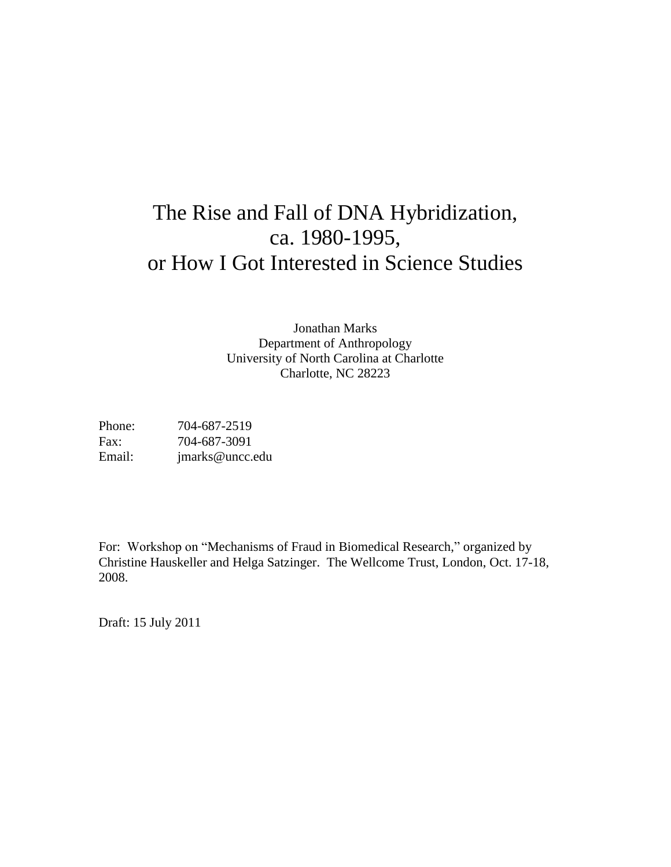# The Rise and Fall of DNA Hybridization, ca. 1980-1995, or How I Got Interested in Science Studies

Jonathan Marks Department of Anthropology University of North Carolina at Charlotte Charlotte, NC 28223

Phone: 704-687-2519 Fax: 704-687-3091 Email: jmarks@uncc.edu

For: Workshop on "Mechanisms of Fraud in Biomedical Research," organized by Christine Hauskeller and Helga Satzinger. The Wellcome Trust, London, Oct. 17-18, 2008.

Draft: 15 July 2011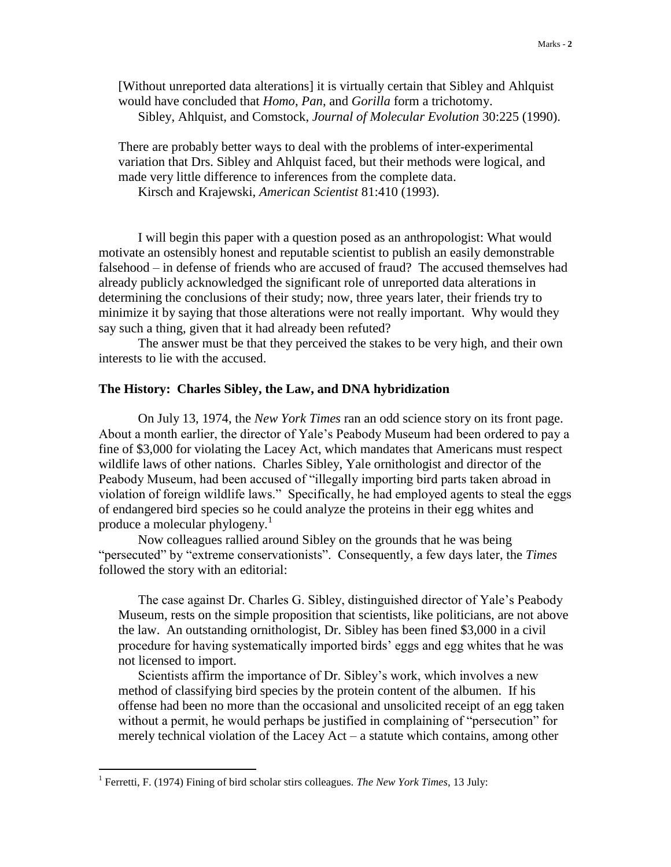[Without unreported data alterations] it is virtually certain that Sibley and Ahlquist would have concluded that *Homo*, *Pan*, and *Gorilla* form a trichotomy. Sibley, Ahlquist, and Comstock, *Journal of Molecular Evolution* 30:225 (1990).

There are probably better ways to deal with the problems of inter-experimental variation that Drs. Sibley and Ahlquist faced, but their methods were logical, and made very little difference to inferences from the complete data.

Kirsch and Krajewski, *American Scientist* 81:410 (1993).

I will begin this paper with a question posed as an anthropologist: What would motivate an ostensibly honest and reputable scientist to publish an easily demonstrable falsehood – in defense of friends who are accused of fraud? The accused themselves had already publicly acknowledged the significant role of unreported data alterations in determining the conclusions of their study; now, three years later, their friends try to minimize it by saying that those alterations were not really important. Why would they say such a thing, given that it had already been refuted?

The answer must be that they perceived the stakes to be very high, and their own interests to lie with the accused.

#### **The History: Charles Sibley, the Law, and DNA hybridization**

On July 13, 1974, the *New York Times* ran an odd science story on its front page. About a month earlier, the director of Yale's Peabody Museum had been ordered to pay a fine of \$3,000 for violating the Lacey Act, which mandates that Americans must respect wildlife laws of other nations. Charles Sibley, Yale ornithologist and director of the Peabody Museum, had been accused of "illegally importing bird parts taken abroad in violation of foreign wildlife laws." Specifically, he had employed agents to steal the eggs of endangered bird species so he could analyze the proteins in their egg whites and produce a molecular phylogeny.<sup>1</sup>

Now colleagues rallied around Sibley on the grounds that he was being "persecuted" by "extreme conservationists". Consequently, a few days later, the *Times* followed the story with an editorial:

The case against Dr. Charles G. Sibley, distinguished director of Yale's Peabody Museum, rests on the simple proposition that scientists, like politicians, are not above the law. An outstanding ornithologist, Dr. Sibley has been fined \$3,000 in a civil procedure for having systematically imported birds' eggs and egg whites that he was not licensed to import.

Scientists affirm the importance of Dr. Sibley's work, which involves a new method of classifying bird species by the protein content of the albumen. If his offense had been no more than the occasional and unsolicited receipt of an egg taken without a permit, he would perhaps be justified in complaining of "persecution" for merely technical violation of the Lacey Act – a statute which contains, among other

<sup>&</sup>lt;sup>1</sup> Ferretti, F. (1974) Fining of bird scholar stirs colleagues. *The New York Times*, 13 July: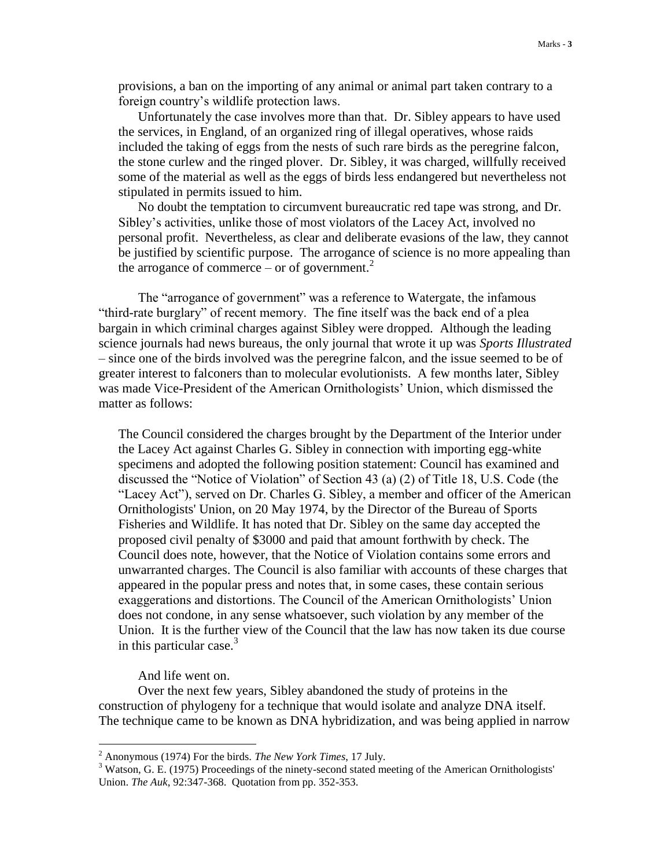provisions, a ban on the importing of any animal or animal part taken contrary to a foreign country's wildlife protection laws.

Unfortunately the case involves more than that. Dr. Sibley appears to have used the services, in England, of an organized ring of illegal operatives, whose raids included the taking of eggs from the nests of such rare birds as the peregrine falcon, the stone curlew and the ringed plover. Dr. Sibley, it was charged, willfully received some of the material as well as the eggs of birds less endangered but nevertheless not stipulated in permits issued to him.

No doubt the temptation to circumvent bureaucratic red tape was strong, and Dr. Sibley's activities, unlike those of most violators of the Lacey Act, involved no personal profit. Nevertheless, as clear and deliberate evasions of the law, they cannot be justified by scientific purpose. The arrogance of science is no more appealing than the arrogance of commerce – or of government. $2$ 

The "arrogance of government" was a reference to Watergate, the infamous "third-rate burglary" of recent memory. The fine itself was the back end of a plea bargain in which criminal charges against Sibley were dropped. Although the leading science journals had news bureaus, the only journal that wrote it up was *Sports Illustrated* – since one of the birds involved was the peregrine falcon, and the issue seemed to be of greater interest to falconers than to molecular evolutionists. A few months later, Sibley was made Vice-President of the American Ornithologists' Union, which dismissed the matter as follows:

The Council considered the charges brought by the Department of the Interior under the Lacey Act against Charles G. Sibley in connection with importing egg-white specimens and adopted the following position statement: Council has examined and discussed the "Notice of Violation" of Section 43 (a) (2) of Title 18, U.S. Code (the "Lacey Act"), served on Dr. Charles G. Sibley, a member and officer of the American Ornithologists' Union, on 20 May 1974, by the Director of the Bureau of Sports Fisheries and Wildlife. It has noted that Dr. Sibley on the same day accepted the proposed civil penalty of \$3000 and paid that amount forthwith by check. The Council does note, however, that the Notice of Violation contains some errors and unwarranted charges. The Council is also familiar with accounts of these charges that appeared in the popular press and notes that, in some cases, these contain serious exaggerations and distortions. The Council of the American Ornithologists' Union does not condone, in any sense whatsoever, such violation by any member of the Union. It is the further view of the Council that the law has now taken its due course in this particular case. $3$ 

And life went on.

 $\overline{a}$ 

Over the next few years, Sibley abandoned the study of proteins in the construction of phylogeny for a technique that would isolate and analyze DNA itself. The technique came to be known as DNA hybridization, and was being applied in narrow

<sup>2</sup> Anonymous (1974) For the birds. *The New York Times*, 17 July.

<sup>&</sup>lt;sup>3</sup> Watson, G. E. (1975) Proceedings of the ninety-second stated meeting of the American Ornithologists' Union. *The Auk*, 92:347-368. Quotation from pp. 352-353.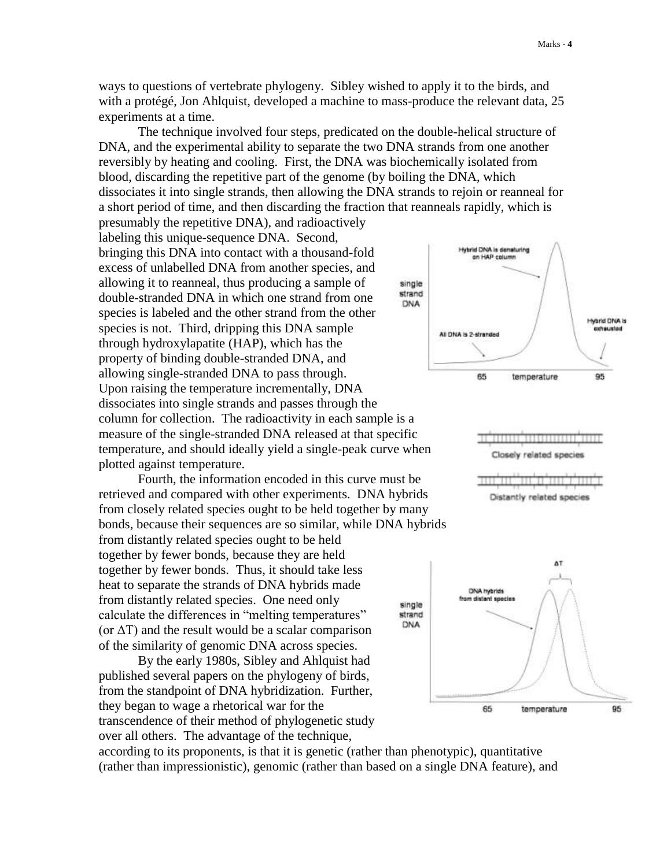ways to questions of vertebrate phylogeny. Sibley wished to apply it to the birds, and with a protégé, Jon Ahlquist, developed a machine to mass-produce the relevant data, 25 experiments at a time.

The technique involved four steps, predicated on the double-helical structure of DNA, and the experimental ability to separate the two DNA strands from one another reversibly by heating and cooling. First, the DNA was biochemically isolated from blood, discarding the repetitive part of the genome (by boiling the DNA, which dissociates it into single strands, then allowing the DNA strands to rejoin or reanneal for a short period of time, and then discarding the fraction that reanneals rapidly, which is presumably the repetitive DNA), and radioactively

labeling this unique-sequence DNA. Second, bringing this DNA into contact with a thousand-fold excess of unlabelled DNA from another species, and allowing it to reanneal, thus producing a sample of double-stranded DNA in which one strand from one species is labeled and the other strand from the other species is not. Third, dripping this DNA sample through hydroxylapatite (HAP), which has the property of binding double-stranded DNA, and allowing single-stranded DNA to pass through. Upon raising the temperature incrementally, DNA dissociates into single strands and passes through the column for collection. The radioactivity in each sample is a measure of the single-stranded DNA released at that specific temperature, and should ideally yield a single-peak curve when plotted against temperature.

Fourth, the information encoded in this curve must be retrieved and compared with other experiments. DNA hybrids from closely related species ought to be held together by many bonds, because their sequences are so similar, while DNA hybrids from distantly related species ought to be held together by fewer bonds, because they are held together by fewer bonds. Thus, it should take less heat to separate the strands of DNA hybrids made from distantly related species. One need only single calculate the differences in "melting temperatures" strand DNA (or  $\Delta T$ ) and the result would be a scalar comparison of the similarity of genomic DNA across species.

By the early 1980s, Sibley and Ahlquist had published several papers on the phylogeny of birds, from the standpoint of DNA hybridization. Further, they began to wage a rhetorical war for the transcendence of their method of phylogenetic study over all others. The advantage of the technique,







according to its proponents, is that it is genetic (rather than phenotypic), quantitative (rather than impressionistic), genomic (rather than based on a single DNA feature), and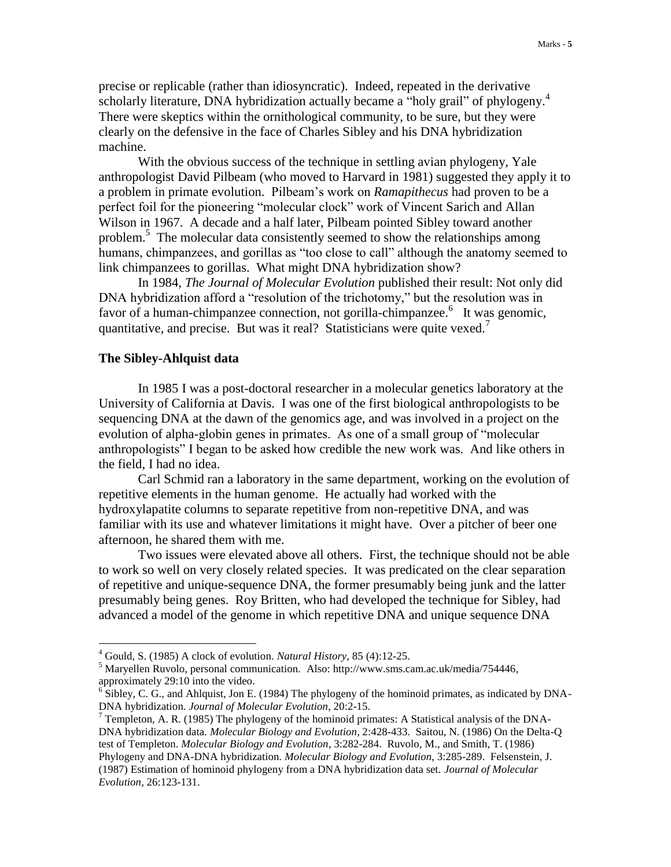precise or replicable (rather than idiosyncratic). Indeed, repeated in the derivative scholarly literature, DNA hybridization actually became a "holy grail" of phylogeny.<sup>4</sup> There were skeptics within the ornithological community, to be sure, but they were clearly on the defensive in the face of Charles Sibley and his DNA hybridization machine.

With the obvious success of the technique in settling avian phylogeny, Yale anthropologist David Pilbeam (who moved to Harvard in 1981) suggested they apply it to a problem in primate evolution. Pilbeam's work on *Ramapithecus* had proven to be a perfect foil for the pioneering "molecular clock" work of Vincent Sarich and Allan Wilson in 1967. A decade and a half later, Pilbeam pointed Sibley toward another problem.<sup>5</sup> The molecular data consistently seemed to show the relationships among humans, chimpanzees, and gorillas as "too close to call" although the anatomy seemed to link chimpanzees to gorillas. What might DNA hybridization show?

In 1984, *The Journal of Molecular Evolution* published their result: Not only did DNA hybridization afford a "resolution of the trichotomy," but the resolution was in favor of a human-chimpanzee connection, not gorilla-chimpanzee.<sup>6</sup> It was genomic, quantitative, and precise. But was it real? Statisticians were quite vexed.<sup>7</sup>

## **The Sibley-Ahlquist data**

 $\overline{a}$ 

In 1985 I was a post-doctoral researcher in a molecular genetics laboratory at the University of California at Davis. I was one of the first biological anthropologists to be sequencing DNA at the dawn of the genomics age, and was involved in a project on the evolution of alpha-globin genes in primates. As one of a small group of "molecular anthropologists" I began to be asked how credible the new work was. And like others in the field, I had no idea.

Carl Schmid ran a laboratory in the same department, working on the evolution of repetitive elements in the human genome. He actually had worked with the hydroxylapatite columns to separate repetitive from non-repetitive DNA, and was familiar with its use and whatever limitations it might have. Over a pitcher of beer one afternoon, he shared them with me.

Two issues were elevated above all others. First, the technique should not be able to work so well on very closely related species. It was predicated on the clear separation of repetitive and unique-sequence DNA, the former presumably being junk and the latter presumably being genes. Roy Britten, who had developed the technique for Sibley, had advanced a model of the genome in which repetitive DNA and unique sequence DNA

<sup>4</sup> Gould, S. (1985) A clock of evolution. *Natural History*, 85 (4):12-25.

<sup>&</sup>lt;sup>5</sup> Maryellen Ruvolo, personal communication. Also: http://www.sms.cam.ac.uk/media/754446, approximately 29:10 into the video.

 $6$  Sibley, C. G., and Ahlquist, Jon E. (1984) The phylogeny of the hominoid primates, as indicated by DNA-DNA hybridization. *Journal of Molecular Evolution*, 20:2-15.

<sup>&</sup>lt;sup>7</sup> Templeton, A. R. (1985) The phylogeny of the hominoid primates: A Statistical analysis of the DNA-DNA hybridization data. *Molecular Biology and Evolution*, 2:428-433. Saitou, N. (1986) On the Delta-Q test of Templeton. *Molecular Biology and Evolution*, 3:282-284. Ruvolo, M., and Smith, T. (1986) Phylogeny and DNA-DNA hybridization. *Molecular Biology and Evolution*, 3:285-289. Felsenstein, J. (1987) Estimation of hominoid phylogeny from a DNA hybridization data set. *Journal of Molecular Evolution*, 26:123-131.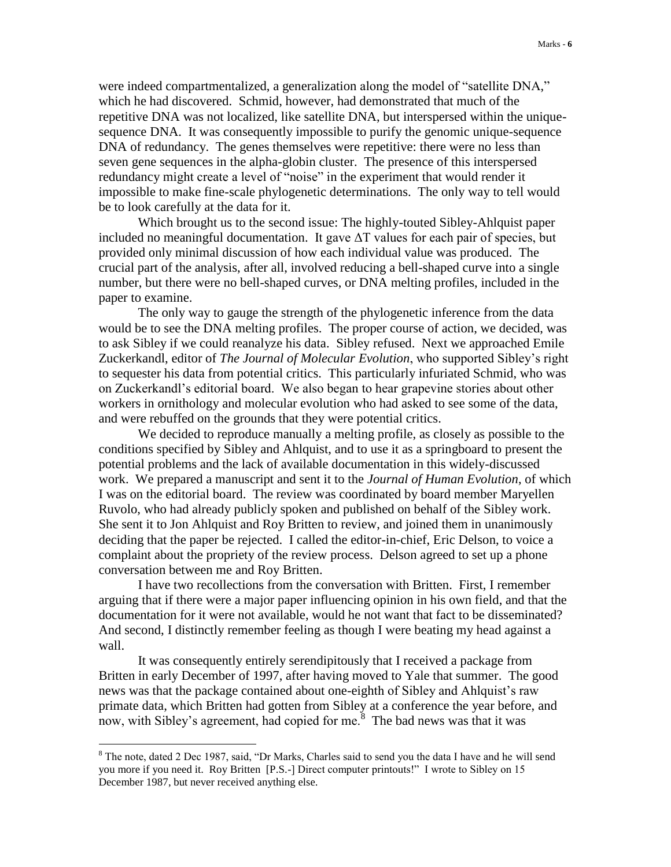were indeed compartmentalized, a generalization along the model of "satellite DNA," which he had discovered. Schmid, however, had demonstrated that much of the repetitive DNA was not localized, like satellite DNA, but interspersed within the uniquesequence DNA. It was consequently impossible to purify the genomic unique-sequence DNA of redundancy. The genes themselves were repetitive: there were no less than seven gene sequences in the alpha-globin cluster. The presence of this interspersed redundancy might create a level of "noise" in the experiment that would render it impossible to make fine-scale phylogenetic determinations. The only way to tell would be to look carefully at the data for it.

Which brought us to the second issue: The highly-touted Sibley-Ahlquist paper included no meaningful documentation. It gave  $\Delta T$  values for each pair of species, but provided only minimal discussion of how each individual value was produced. The crucial part of the analysis, after all, involved reducing a bell-shaped curve into a single number, but there were no bell-shaped curves, or DNA melting profiles, included in the paper to examine.

The only way to gauge the strength of the phylogenetic inference from the data would be to see the DNA melting profiles. The proper course of action, we decided, was to ask Sibley if we could reanalyze his data. Sibley refused. Next we approached Emile Zuckerkandl, editor of *The Journal of Molecular Evolution*, who supported Sibley's right to sequester his data from potential critics. This particularly infuriated Schmid, who was on Zuckerkandl's editorial board. We also began to hear grapevine stories about other workers in ornithology and molecular evolution who had asked to see some of the data, and were rebuffed on the grounds that they were potential critics.

We decided to reproduce manually a melting profile, as closely as possible to the conditions specified by Sibley and Ahlquist, and to use it as a springboard to present the potential problems and the lack of available documentation in this widely-discussed work. We prepared a manuscript and sent it to the *Journal of Human Evolution*, of which I was on the editorial board. The review was coordinated by board member Maryellen Ruvolo, who had already publicly spoken and published on behalf of the Sibley work. She sent it to Jon Ahlquist and Roy Britten to review, and joined them in unanimously deciding that the paper be rejected. I called the editor-in-chief, Eric Delson, to voice a complaint about the propriety of the review process. Delson agreed to set up a phone conversation between me and Roy Britten.

I have two recollections from the conversation with Britten. First, I remember arguing that if there were a major paper influencing opinion in his own field, and that the documentation for it were not available, would he not want that fact to be disseminated? And second, I distinctly remember feeling as though I were beating my head against a wall.

It was consequently entirely serendipitously that I received a package from Britten in early December of 1997, after having moved to Yale that summer. The good news was that the package contained about one-eighth of Sibley and Ahlquist's raw primate data, which Britten had gotten from Sibley at a conference the year before, and now, with Sibley's agreement, had copied for me. $\frac{8}{3}$  The bad news was that it was

<sup>&</sup>lt;sup>8</sup> The note, dated 2 Dec 1987, said, "Dr Marks, Charles said to send you the data I have and he will send you more if you need it. Roy Britten [P.S.-] Direct computer printouts!" I wrote to Sibley on 15 December 1987, but never received anything else.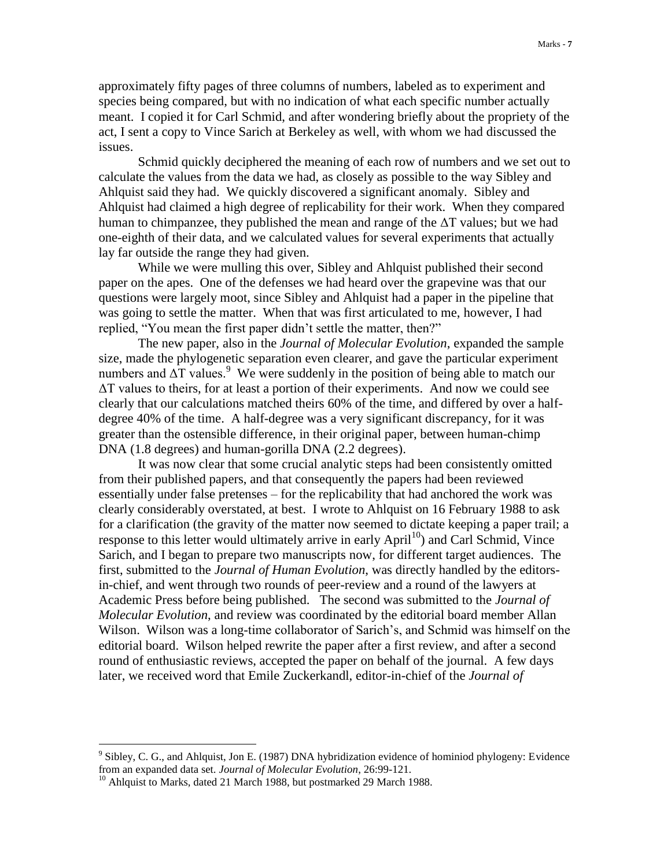approximately fifty pages of three columns of numbers, labeled as to experiment and species being compared, but with no indication of what each specific number actually meant. I copied it for Carl Schmid, and after wondering briefly about the propriety of the act, I sent a copy to Vince Sarich at Berkeley as well, with whom we had discussed the issues.

Schmid quickly deciphered the meaning of each row of numbers and we set out to calculate the values from the data we had, as closely as possible to the way Sibley and Ahlquist said they had. We quickly discovered a significant anomaly. Sibley and Ahlquist had claimed a high degree of replicability for their work. When they compared human to chimpanzee, they published the mean and range of the  $\Delta T$  values; but we had one-eighth of their data, and we calculated values for several experiments that actually lay far outside the range they had given.

While we were mulling this over, Sibley and Ahlquist published their second paper on the apes. One of the defenses we had heard over the grapevine was that our questions were largely moot, since Sibley and Ahlquist had a paper in the pipeline that was going to settle the matter. When that was first articulated to me, however, I had replied, "You mean the first paper didn't settle the matter, then?"

The new paper, also in the *Journal of Molecular Evolution*, expanded the sample size, made the phylogenetic separation even clearer, and gave the particular experiment numbers and  $\Delta T$  values.<sup>9</sup> We were suddenly in the position of being able to match our ΔT values to theirs, for at least a portion of their experiments. And now we could see clearly that our calculations matched theirs 60% of the time, and differed by over a halfdegree 40% of the time. A half-degree was a very significant discrepancy, for it was greater than the ostensible difference, in their original paper, between human-chimp DNA (1.8 degrees) and human-gorilla DNA (2.2 degrees).

It was now clear that some crucial analytic steps had been consistently omitted from their published papers, and that consequently the papers had been reviewed essentially under false pretenses – for the replicability that had anchored the work was clearly considerably overstated, at best. I wrote to Ahlquist on 16 February 1988 to ask for a clarification (the gravity of the matter now seemed to dictate keeping a paper trail; a response to this letter would ultimately arrive in early April<sup>10</sup>) and Carl Schmid, Vince Sarich, and I began to prepare two manuscripts now, for different target audiences. The first, submitted to the *Journal of Human Evolution*, was directly handled by the editorsin-chief, and went through two rounds of peer-review and a round of the lawyers at Academic Press before being published. The second was submitted to the *Journal of Molecular Evolution*, and review was coordinated by the editorial board member Allan Wilson. Wilson was a long-time collaborator of Sarich's, and Schmid was himself on the editorial board. Wilson helped rewrite the paper after a first review, and after a second round of enthusiastic reviews, accepted the paper on behalf of the journal. A few days later, we received word that Emile Zuckerkandl, editor-in-chief of the *Journal of* 

 $9$  Sibley, C. G., and Ahlquist, Jon E. (1987) DNA hybridization evidence of hominiod phylogeny: Evidence from an expanded data set. *Journal of Molecular Evolution*, 26:99-121.

<sup>&</sup>lt;sup>10</sup> Ahlquist to Marks, dated 21 March 1988, but postmarked 29 March 1988.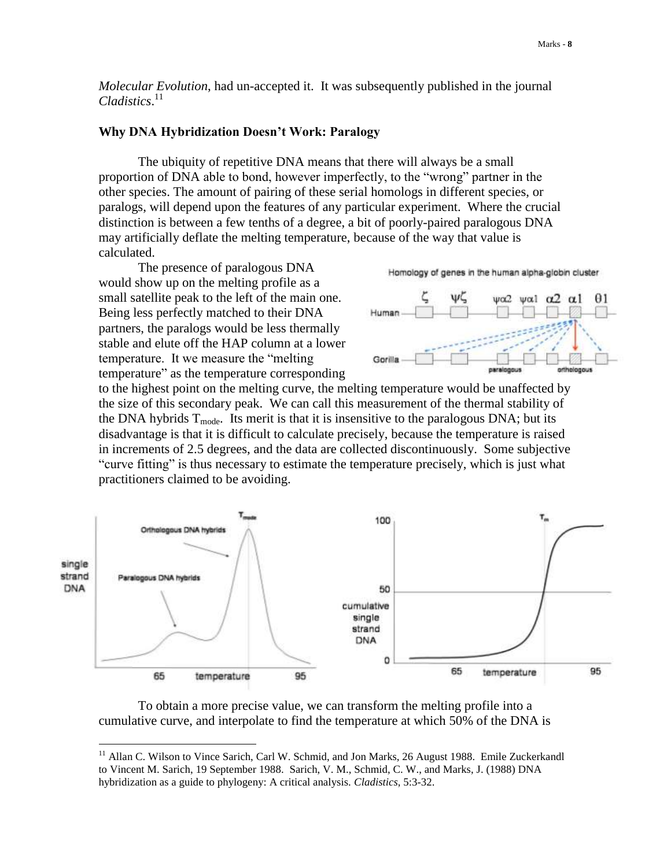*Molecular Evolution*, had un-accepted it. It was subsequently published in the journal *Cladistics*. 11

## **Why DNA Hybridization Doesn't Work: Paralogy**

The ubiquity of repetitive DNA means that there will always be a small proportion of DNA able to bond, however imperfectly, to the "wrong" partner in the other species. The amount of pairing of these serial homologs in different species, or paralogs, will depend upon the features of any particular experiment. Where the crucial distinction is between a few tenths of a degree, a bit of poorly-paired paralogous DNA may artificially deflate the melting temperature, because of the way that value is calculated.

The presence of paralogous DNA would show up on the melting profile as a small satellite peak to the left of the main one. Being less perfectly matched to their DNA partners, the paralogs would be less thermally stable and elute off the HAP column at a lower temperature. It we measure the "melting temperature" as the temperature corresponding

 $\overline{a}$ 

Homology of genes in the human alpha-globin cluster



to the highest point on the melting curve, the melting temperature would be unaffected by the size of this secondary peak. We can call this measurement of the thermal stability of the DNA hybrids  $T_{mode}$ . Its merit is that it is insensitive to the paralogous DNA; but its disadvantage is that it is difficult to calculate precisely, because the temperature is raised in increments of 2.5 degrees, and the data are collected discontinuously. Some subjective "curve fitting" is thus necessary to estimate the temperature precisely, which is just what practitioners claimed to be avoiding.



To obtain a more precise value, we can transform the melting profile into a cumulative curve, and interpolate to find the temperature at which 50% of the DNA is

<sup>&</sup>lt;sup>11</sup> Allan C. Wilson to Vince Sarich, Carl W. Schmid, and Jon Marks, 26 August 1988. Emile Zuckerkandl to Vincent M. Sarich, 19 September 1988. Sarich, V. M., Schmid, C. W., and Marks, J. (1988) DNA hybridization as a guide to phylogeny: A critical analysis. *Cladistics*, 5:3-32.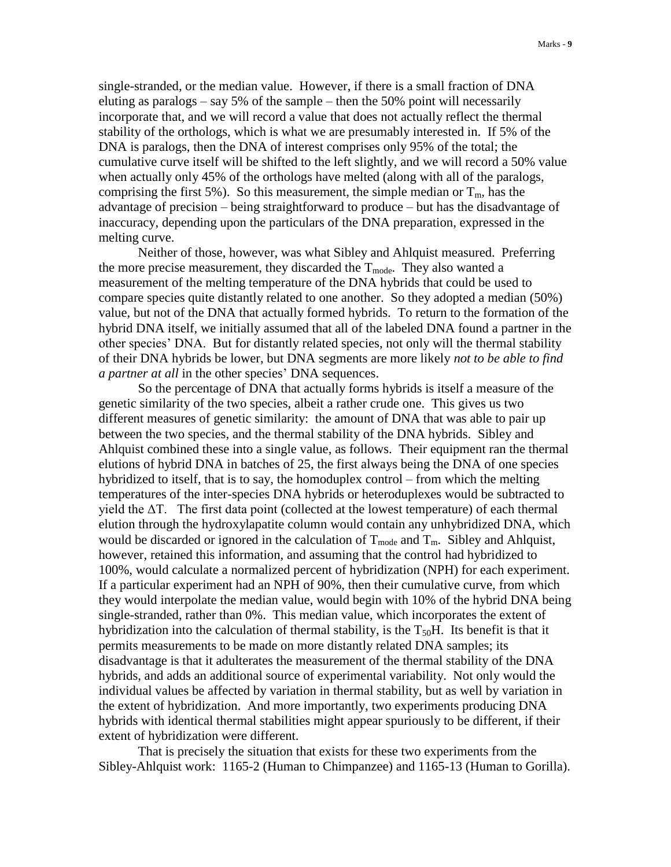single-stranded, or the median value. However, if there is a small fraction of DNA eluting as paralogs – say 5% of the sample – then the 50% point will necessarily incorporate that, and we will record a value that does not actually reflect the thermal stability of the orthologs, which is what we are presumably interested in. If 5% of the DNA is paralogs, then the DNA of interest comprises only 95% of the total; the cumulative curve itself will be shifted to the left slightly, and we will record a 50% value when actually only 45% of the orthologs have melted (along with all of the paralogs, comprising the first 5%). So this measurement, the simple median or  $T_m$ , has the advantage of precision – being straightforward to produce – but has the disadvantage of inaccuracy, depending upon the particulars of the DNA preparation, expressed in the melting curve.

Neither of those, however, was what Sibley and Ahlquist measured. Preferring the more precise measurement, they discarded the  $T_{mode}$ . They also wanted a measurement of the melting temperature of the DNA hybrids that could be used to compare species quite distantly related to one another. So they adopted a median (50%) value, but not of the DNA that actually formed hybrids. To return to the formation of the hybrid DNA itself, we initially assumed that all of the labeled DNA found a partner in the other species' DNA. But for distantly related species, not only will the thermal stability of their DNA hybrids be lower, but DNA segments are more likely *not to be able to find a partner at all* in the other species' DNA sequences.

So the percentage of DNA that actually forms hybrids is itself a measure of the genetic similarity of the two species, albeit a rather crude one. This gives us two different measures of genetic similarity: the amount of DNA that was able to pair up between the two species, and the thermal stability of the DNA hybrids. Sibley and Ahlquist combined these into a single value, as follows. Their equipment ran the thermal elutions of hybrid DNA in batches of 25, the first always being the DNA of one species hybridized to itself, that is to say, the homoduplex control – from which the melting temperatures of the inter-species DNA hybrids or heteroduplexes would be subtracted to yield the  $\Delta T$ . The first data point (collected at the lowest temperature) of each thermal elution through the hydroxylapatite column would contain any unhybridized DNA, which would be discarded or ignored in the calculation of  $T_{mode}$  and  $T_m$ . Sibley and Ahlquist, however, retained this information, and assuming that the control had hybridized to 100%, would calculate a normalized percent of hybridization (NPH) for each experiment. If a particular experiment had an NPH of 90%, then their cumulative curve, from which they would interpolate the median value, would begin with 10% of the hybrid DNA being single-stranded, rather than 0%. This median value, which incorporates the extent of hybridization into the calculation of thermal stability, is the  $T_{50}H$ . Its benefit is that it permits measurements to be made on more distantly related DNA samples; its disadvantage is that it adulterates the measurement of the thermal stability of the DNA hybrids, and adds an additional source of experimental variability. Not only would the individual values be affected by variation in thermal stability, but as well by variation in the extent of hybridization. And more importantly, two experiments producing DNA hybrids with identical thermal stabilities might appear spuriously to be different, if their extent of hybridization were different.

That is precisely the situation that exists for these two experiments from the Sibley-Ahlquist work: 1165-2 (Human to Chimpanzee) and 1165-13 (Human to Gorilla).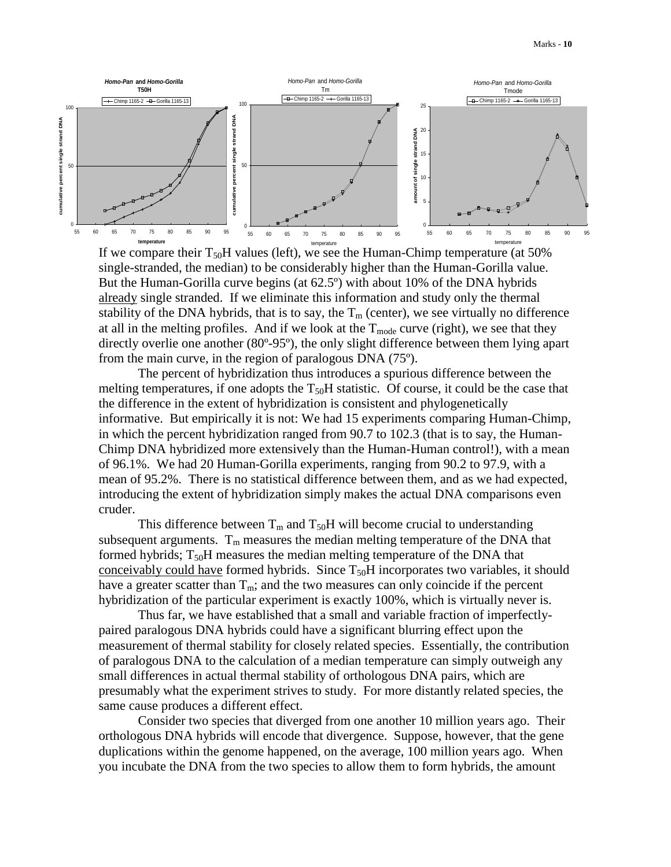

If we compare their  $T_{50}H$  values (left), we see the Human-Chimp temperature (at 50% single-stranded, the median) to be considerably higher than the Human-Gorilla value. But the Human-Gorilla curve begins (at 62.5º) with about 10% of the DNA hybrids already single stranded. If we eliminate this information and study only the thermal stability of the DNA hybrids, that is to say, the  $T_m$  (center), we see virtually no difference at all in the melting profiles. And if we look at the  $T_{mode}$  curve (right), we see that they directly overlie one another (80º-95º), the only slight difference between them lying apart from the main curve, in the region of paralogous DNA (75º).

The percent of hybridization thus introduces a spurious difference between the melting temperatures, if one adopts the  $T_{50}H$  statistic. Of course, it could be the case that the difference in the extent of hybridization is consistent and phylogenetically informative. But empirically it is not: We had 15 experiments comparing Human-Chimp, in which the percent hybridization ranged from 90.7 to 102.3 (that is to say, the Human-Chimp DNA hybridized more extensively than the Human-Human control!), with a mean of 96.1%. We had 20 Human-Gorilla experiments, ranging from 90.2 to 97.9, with a mean of 95.2%. There is no statistical difference between them, and as we had expected, introducing the extent of hybridization simply makes the actual DNA comparisons even cruder.

This difference between  $T_m$  and  $T_{50}H$  will become crucial to understanding subsequent arguments.  $T_m$  measures the median melting temperature of the DNA that formed hybrids;  $T_{50}H$  measures the median melting temperature of the DNA that conceivably could have formed hybrids. Since  $T_{50}H$  incorporates two variables, it should have a greater scatter than  $T_m$ ; and the two measures can only coincide if the percent hybridization of the particular experiment is exactly 100%, which is virtually never is.

Thus far, we have established that a small and variable fraction of imperfectlypaired paralogous DNA hybrids could have a significant blurring effect upon the measurement of thermal stability for closely related species. Essentially, the contribution of paralogous DNA to the calculation of a median temperature can simply outweigh any small differences in actual thermal stability of orthologous DNA pairs, which are presumably what the experiment strives to study. For more distantly related species, the same cause produces a different effect.

Consider two species that diverged from one another 10 million years ago. Their orthologous DNA hybrids will encode that divergence. Suppose, however, that the gene duplications within the genome happened, on the average, 100 million years ago. When you incubate the DNA from the two species to allow them to form hybrids, the amount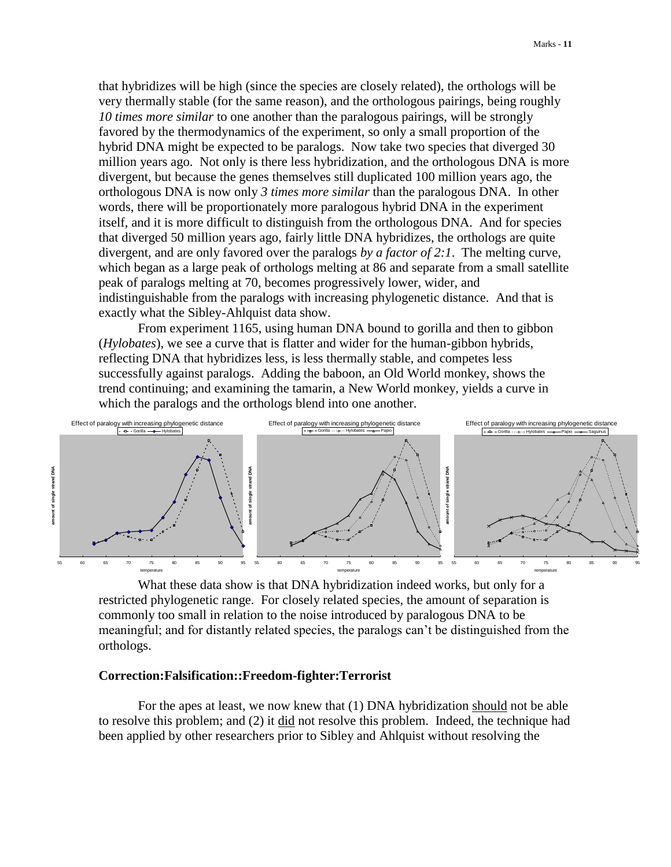that hybridizes will be high (since the species are closely related), the orthologs will be very thermally stable (for the same reason), and the orthologous pairings, being roughly *10 times more similar* to one another than the paralogous pairings, will be strongly favored by the thermodynamics of the experiment, so only a small proportion of the hybrid DNA might be expected to be paralogs. Now take two species that diverged 30 million years ago. Not only is there less hybridization, and the orthologous DNA is more divergent, but because the genes themselves still duplicated 100 million years ago, the orthologous DNA is now only *3 times more similar* than the paralogous DNA. In other words, there will be proportionately more paralogous hybrid DNA in the experiment itself, and it is more difficult to distinguish from the orthologous DNA. And for species that diverged 50 million years ago, fairly little DNA hybridizes, the orthologs are quite divergent, and are only favored over the paralogs *by a factor of 2:1*. The melting curve, which began as a large peak of orthologs melting at 86 and separate from a small satellite peak of paralogs melting at 70, becomes progressively lower, wider, and indistinguishable from the paralogs with increasing phylogenetic distance. And that is exactly what the Sibley-Ahlquist data show.

From experiment 1165, using human DNA bound to gorilla and then to gibbon (*Hylobates*), we see a curve that is flatter and wider for the human-gibbon hybrids, reflecting DNA that hybridizes less, is less thermally stable, and competes less successfully against paralogs. Adding the baboon, an Old World monkey, shows the trend continuing; and examining the tamarin, a New World monkey, yields a curve in which the paralogs and the orthologs blend into one another.



What these data show is that DNA hybridization indeed works, but only for a restricted phylogenetic range. For closely related species, the amount of separation is commonly too small in relation to the noise introduced by paralogous DNA to be meaningful; and for distantly related species, the paralogs can't be distinguished from the orthologs.

## **Correction:Falsification::Freedom-fighter:Terrorist**

For the apes at least, we now knew that (1) DNA hybridization should not be able to resolve this problem; and (2) it did not resolve this problem. Indeed, the technique had been applied by other researchers prior to Sibley and Ahlquist without resolving the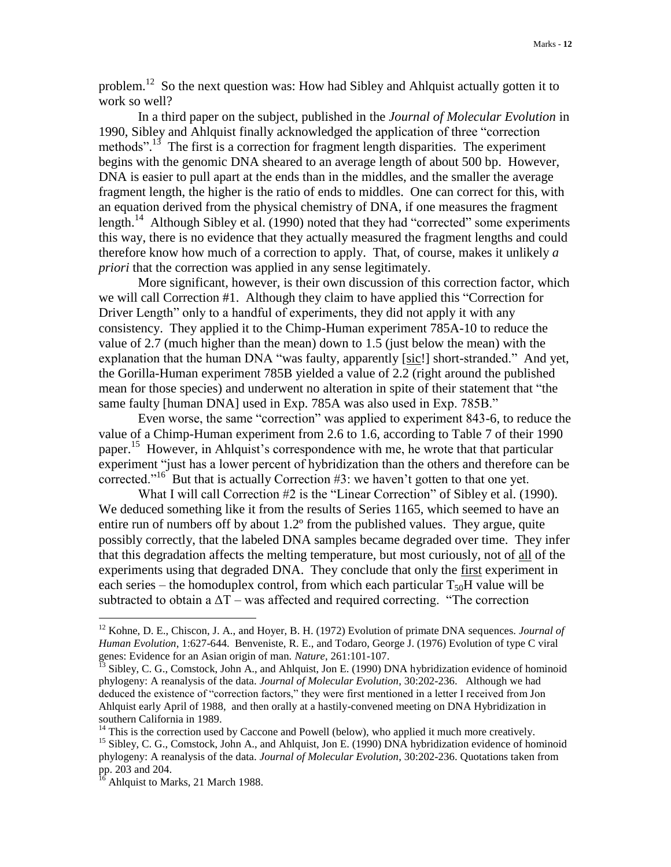problem.<sup>12</sup> So the next question was: How had Sibley and Ahlquist actually gotten it to work so well?

In a third paper on the subject, published in the *Journal of Molecular Evolution* in 1990, Sibley and Ahlquist finally acknowledged the application of three "correction methods".<sup>13</sup> The first is a correction for fragment length disparities. The experiment begins with the genomic DNA sheared to an average length of about 500 bp. However, DNA is easier to pull apart at the ends than in the middles, and the smaller the average fragment length, the higher is the ratio of ends to middles. One can correct for this, with an equation derived from the physical chemistry of DNA, if one measures the fragment length.<sup>14</sup> Although Sibley et al. (1990) noted that they had "corrected" some experiments this way, there is no evidence that they actually measured the fragment lengths and could therefore know how much of a correction to apply. That, of course, makes it unlikely *a priori* that the correction was applied in any sense legitimately.

More significant, however, is their own discussion of this correction factor, which we will call Correction #1. Although they claim to have applied this "Correction for Driver Length" only to a handful of experiments, they did not apply it with any consistency. They applied it to the Chimp-Human experiment 785A-10 to reduce the value of 2.7 (much higher than the mean) down to 1.5 (just below the mean) with the explanation that the human DNA "was faulty, apparently [sic!] short-stranded." And yet, the Gorilla-Human experiment 785B yielded a value of 2.2 (right around the published mean for those species) and underwent no alteration in spite of their statement that "the same faulty [human DNA] used in Exp. 785A was also used in Exp. 785B."

Even worse, the same "correction" was applied to experiment 843-6, to reduce the value of a Chimp-Human experiment from 2.6 to 1.6, according to Table 7 of their 1990 paper.<sup>15</sup> However, in Ahlquist's correspondence with me, he wrote that that particular experiment "just has a lower percent of hybridization than the others and therefore can be corrected."<sup>16</sup> But that is actually Correction  $#3$ : we haven't gotten to that one yet.

What I will call Correction #2 is the "Linear Correction" of Sibley et al. (1990). We deduced something like it from the results of Series 1165, which seemed to have an entire run of numbers off by about 1.2º from the published values. They argue, quite possibly correctly, that the labeled DNA samples became degraded over time. They infer that this degradation affects the melting temperature, but most curiously, not of all of the experiments using that degraded DNA. They conclude that only the first experiment in each series – the homoduplex control, from which each particular  $T_{50}H$  value will be subtracted to obtain a  $\Delta T$  – was affected and required correcting. "The correction

<sup>14</sup> This is the correction used by Caccone and Powell (below), who applied it much more creatively.

<sup>12</sup> Kohne, D. E., Chiscon, J. A., and Hoyer, B. H. (1972) Evolution of primate DNA sequences. *Journal of Human Evolution*, 1:627-644. Benveniste, R. E., and Todaro, George J. (1976) Evolution of type C viral genes: Evidence for an Asian origin of man. *Nature*, 261:101-107.

 $^{13}$  Sibley, C. G., Comstock, John A., and Ahlquist, Jon E. (1990) DNA hybridization evidence of hominoid phylogeny: A reanalysis of the data. *Journal of Molecular Evolution*, 30:202-236. Although we had deduced the existence of "correction factors," they were first mentioned in a letter I received from Jon Ahlquist early April of 1988, and then orally at a hastily-convened meeting on DNA Hybridization in southern California in 1989.

<sup>&</sup>lt;sup>15</sup> Sibley, C. G., Comstock, John A., and Ahlquist, Jon E. (1990) DNA hybridization evidence of hominoid phylogeny: A reanalysis of the data. *Journal of Molecular Evolution*, 30:202-236. Quotations taken from pp. 203 and 204.

 $16$  Ahlquist to Marks, 21 March 1988.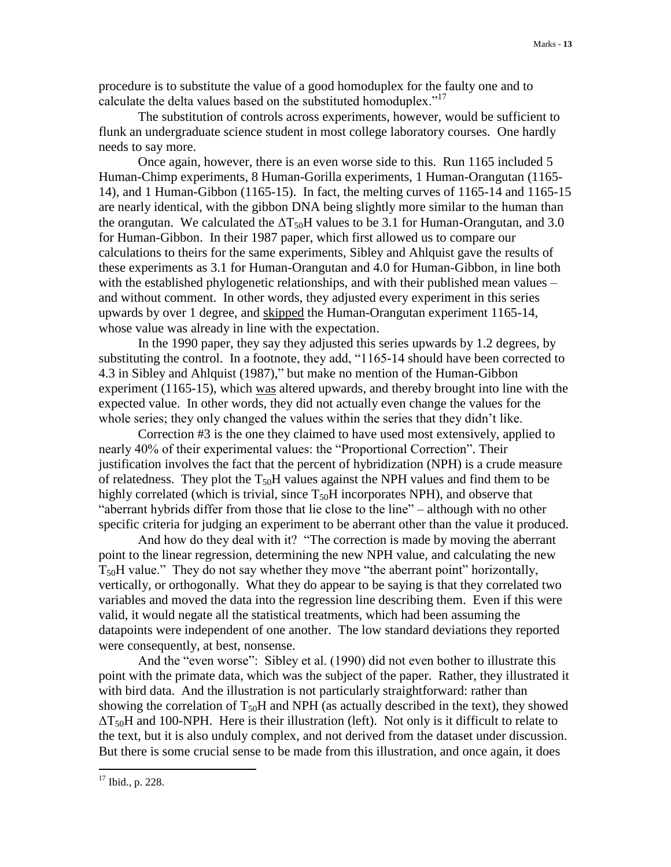procedure is to substitute the value of a good homoduplex for the faulty one and to calculate the delta values based on the substituted homoduplex."<sup>17</sup>

The substitution of controls across experiments, however, would be sufficient to flunk an undergraduate science student in most college laboratory courses. One hardly needs to say more.

Once again, however, there is an even worse side to this. Run 1165 included 5 Human-Chimp experiments, 8 Human-Gorilla experiments, 1 Human-Orangutan (1165- 14), and 1 Human-Gibbon (1165-15). In fact, the melting curves of 1165-14 and 1165-15 are nearly identical, with the gibbon DNA being slightly more similar to the human than the orangutan. We calculated the  $\Delta T_{50}H$  values to be 3.1 for Human-Orangutan, and 3.0 for Human-Gibbon. In their 1987 paper, which first allowed us to compare our calculations to theirs for the same experiments, Sibley and Ahlquist gave the results of these experiments as 3.1 for Human-Orangutan and 4.0 for Human-Gibbon, in line both with the established phylogenetic relationships, and with their published mean values – and without comment. In other words, they adjusted every experiment in this series upwards by over 1 degree, and skipped the Human-Orangutan experiment 1165-14, whose value was already in line with the expectation.

In the 1990 paper, they say they adjusted this series upwards by 1.2 degrees, by substituting the control. In a footnote, they add, "1165-14 should have been corrected to 4.3 in Sibley and Ahlquist (1987)," but make no mention of the Human-Gibbon experiment (1165-15), which was altered upwards, and thereby brought into line with the expected value. In other words, they did not actually even change the values for the whole series; they only changed the values within the series that they didn't like.

Correction #3 is the one they claimed to have used most extensively, applied to nearly 40% of their experimental values: the "Proportional Correction". Their justification involves the fact that the percent of hybridization (NPH) is a crude measure of relatedness. They plot the  $T_{50}H$  values against the NPH values and find them to be highly correlated (which is trivial, since  $T_{50}H$  incorporates NPH), and observe that "aberrant hybrids differ from those that lie close to the line" – although with no other specific criteria for judging an experiment to be aberrant other than the value it produced.

And how do they deal with it? "The correction is made by moving the aberrant point to the linear regression, determining the new NPH value, and calculating the new  $T_{50}$ H value." They do not say whether they move "the aberrant point" horizontally, vertically, or orthogonally. What they do appear to be saying is that they correlated two variables and moved the data into the regression line describing them. Even if this were valid, it would negate all the statistical treatments, which had been assuming the datapoints were independent of one another. The low standard deviations they reported were consequently, at best, nonsense.

And the "even worse": Sibley et al. (1990) did not even bother to illustrate this point with the primate data, which was the subject of the paper. Rather, they illustrated it with bird data. And the illustration is not particularly straightforward: rather than showing the correlation of  $T_{50}H$  and NPH (as actually described in the text), they showed  $\Delta$ T<sub>50</sub>H and 100-NPH. Here is their illustration (left). Not only is it difficult to relate to the text, but it is also unduly complex, and not derived from the dataset under discussion. But there is some crucial sense to be made from this illustration, and once again, it does

<sup>17</sup> Ibid., p. 228.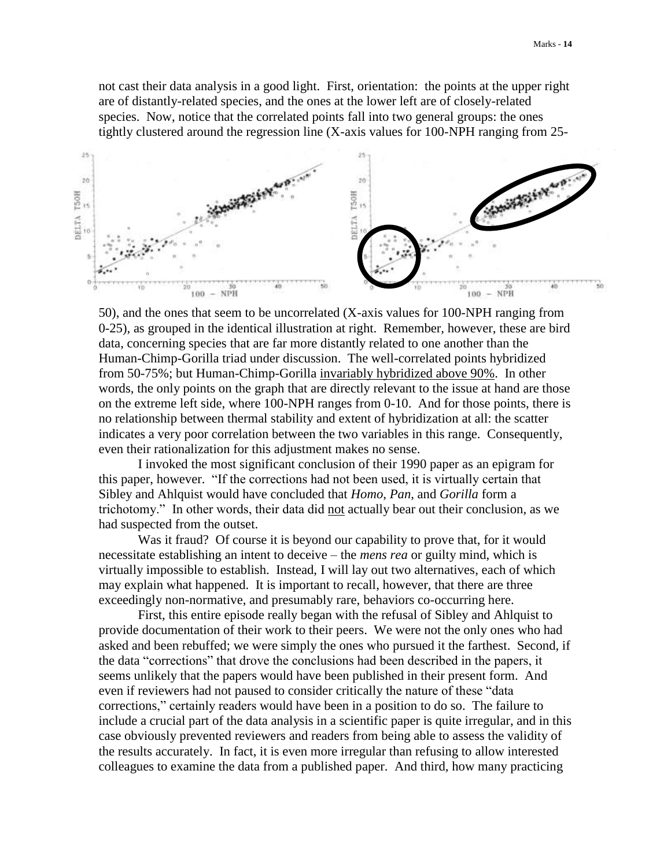not cast their data analysis in a good light. First, orientation: the points at the upper right are of distantly-related species, and the ones at the lower left are of closely-related species. Now, notice that the correlated points fall into two general groups: the ones tightly clustered around the regression line (X-axis values for 100-NPH ranging from 25-



50), and the ones that seem to be uncorrelated (X-axis values for 100-NPH ranging from 0-25), as grouped in the identical illustration at right. Remember, however, these are bird data, concerning species that are far more distantly related to one another than the Human-Chimp-Gorilla triad under discussion. The well-correlated points hybridized from 50-75%; but Human-Chimp-Gorilla invariably hybridized above 90%. In other words, the only points on the graph that are directly relevant to the issue at hand are those on the extreme left side, where 100-NPH ranges from 0-10. And for those points, there is no relationship between thermal stability and extent of hybridization at all: the scatter indicates a very poor correlation between the two variables in this range. Consequently, even their rationalization for this adjustment makes no sense.

I invoked the most significant conclusion of their 1990 paper as an epigram for this paper, however. "If the corrections had not been used, it is virtually certain that Sibley and Ahlquist would have concluded that *Homo*, *Pan*, and *Gorilla* form a trichotomy." In other words, their data did not actually bear out their conclusion, as we had suspected from the outset.

Was it fraud? Of course it is beyond our capability to prove that, for it would necessitate establishing an intent to deceive – the *mens rea* or guilty mind, which is virtually impossible to establish. Instead, I will lay out two alternatives, each of which may explain what happened. It is important to recall, however, that there are three exceedingly non-normative, and presumably rare, behaviors co-occurring here.

First, this entire episode really began with the refusal of Sibley and Ahlquist to provide documentation of their work to their peers. We were not the only ones who had asked and been rebuffed; we were simply the ones who pursued it the farthest. Second, if the data "corrections" that drove the conclusions had been described in the papers, it seems unlikely that the papers would have been published in their present form. And even if reviewers had not paused to consider critically the nature of these "data corrections," certainly readers would have been in a position to do so. The failure to include a crucial part of the data analysis in a scientific paper is quite irregular, and in this case obviously prevented reviewers and readers from being able to assess the validity of the results accurately. In fact, it is even more irregular than refusing to allow interested colleagues to examine the data from a published paper. And third, how many practicing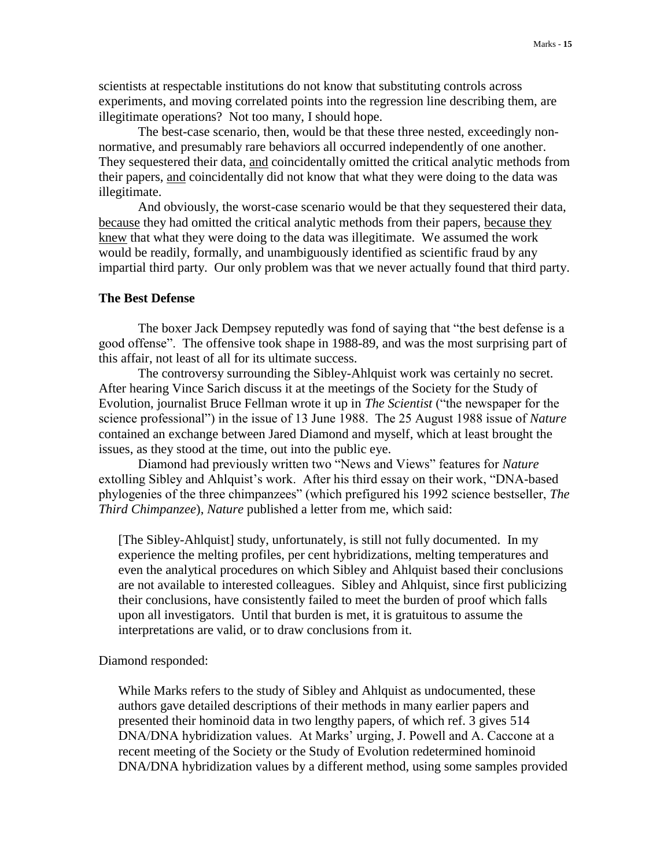scientists at respectable institutions do not know that substituting controls across experiments, and moving correlated points into the regression line describing them, are illegitimate operations? Not too many, I should hope.

The best-case scenario, then, would be that these three nested, exceedingly nonnormative, and presumably rare behaviors all occurred independently of one another. They sequestered their data, and coincidentally omitted the critical analytic methods from their papers, and coincidentally did not know that what they were doing to the data was illegitimate.

And obviously, the worst-case scenario would be that they sequestered their data, because they had omitted the critical analytic methods from their papers, because they knew that what they were doing to the data was illegitimate. We assumed the work would be readily, formally, and unambiguously identified as scientific fraud by any impartial third party. Our only problem was that we never actually found that third party.

## **The Best Defense**

The boxer Jack Dempsey reputedly was fond of saying that "the best defense is a good offense". The offensive took shape in 1988-89, and was the most surprising part of this affair, not least of all for its ultimate success.

The controversy surrounding the Sibley-Ahlquist work was certainly no secret. After hearing Vince Sarich discuss it at the meetings of the Society for the Study of Evolution, journalist Bruce Fellman wrote it up in *The Scientist* ("the newspaper for the science professional") in the issue of 13 June 1988. The 25 August 1988 issue of *Nature* contained an exchange between Jared Diamond and myself, which at least brought the issues, as they stood at the time, out into the public eye.

Diamond had previously written two "News and Views" features for *Nature* extolling Sibley and Ahlquist's work. After his third essay on their work, "DNA-based phylogenies of the three chimpanzees" (which prefigured his 1992 science bestseller, *The Third Chimpanzee*), *Nature* published a letter from me, which said:

[The Sibley-Ahlquist] study, unfortunately, is still not fully documented. In my experience the melting profiles, per cent hybridizations, melting temperatures and even the analytical procedures on which Sibley and Ahlquist based their conclusions are not available to interested colleagues. Sibley and Ahlquist, since first publicizing their conclusions, have consistently failed to meet the burden of proof which falls upon all investigators. Until that burden is met, it is gratuitous to assume the interpretations are valid, or to draw conclusions from it.

Diamond responded:

While Marks refers to the study of Sibley and Ahlquist as undocumented, these authors gave detailed descriptions of their methods in many earlier papers and presented their hominoid data in two lengthy papers, of which ref. 3 gives 514 DNA/DNA hybridization values. At Marks' urging, J. Powell and A. Caccone at a recent meeting of the Society or the Study of Evolution redetermined hominoid DNA/DNA hybridization values by a different method, using some samples provided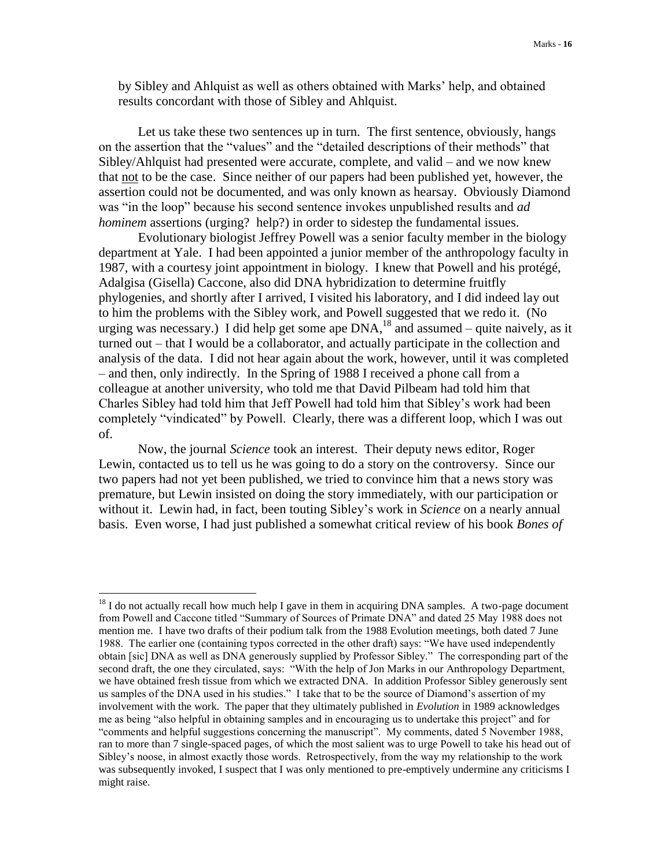by Sibley and Ahlquist as well as others obtained with Marks' help, and obtained results concordant with those of Sibley and Ahlquist.

Let us take these two sentences up in turn. The first sentence, obviously, hangs on the assertion that the "values" and the "detailed descriptions of their methods" that Sibley/Ahlquist had presented were accurate, complete, and valid – and we now knew that not to be the case. Since neither of our papers had been published yet, however, the assertion could not be documented, and was only known as hearsay. Obviously Diamond was "in the loop" because his second sentence invokes unpublished results and *ad hominem* assertions (urging? help?) in order to sidestep the fundamental issues.

Evolutionary biologist Jeffrey Powell was a senior faculty member in the biology department at Yale. I had been appointed a junior member of the anthropology faculty in 1987, with a courtesy joint appointment in biology. I knew that Powell and his protégé, Adalgisa (Gisella) Caccone, also did DNA hybridization to determine fruitfly phylogenies, and shortly after I arrived, I visited his laboratory, and I did indeed lay out to him the problems with the Sibley work, and Powell suggested that we redo it. (No urging was necessary.) I did help get some ape  $DNA<sub>18</sub>$  and assumed – quite naively, as it turned out – that I would be a collaborator, and actually participate in the collection and analysis of the data. I did not hear again about the work, however, until it was completed – and then, only indirectly. In the Spring of 1988 I received a phone call from a colleague at another university, who told me that David Pilbeam had told him that Charles Sibley had told him that Jeff Powell had told him that Sibley's work had been completely "vindicated" by Powell. Clearly, there was a different loop, which I was out of.

Now, the journal *Science* took an interest. Their deputy news editor, Roger Lewin, contacted us to tell us he was going to do a story on the controversy. Since our two papers had not yet been published, we tried to convince him that a news story was premature, but Lewin insisted on doing the story immediately, with our participation or without it. Lewin had, in fact, been touting Sibley's work in *Science* on a nearly annual basis. Even worse, I had just published a somewhat critical review of his book *Bones of* 

 $18$  I do not actually recall how much help I gave in them in acquiring DNA samples. A two-page document from Powell and Caccone titled "Summary of Sources of Primate DNA" and dated 25 May 1988 does not mention me. I have two drafts of their podium talk from the 1988 Evolution meetings, both dated 7 June 1988. The earlier one (containing typos corrected in the other draft) says: "We have used independently obtain [sic] DNA as well as DNA generously supplied by Professor Sibley." The corresponding part of the second draft, the one they circulated, says: "With the help of Jon Marks in our Anthropology Department, we have obtained fresh tissue from which we extracted DNA. In addition Professor Sibley generously sent us samples of the DNA used in his studies." I take that to be the source of Diamond's assertion of my involvement with the work. The paper that they ultimately published in *Evolution* in 1989 acknowledges me as being "also helpful in obtaining samples and in encouraging us to undertake this project" and for "comments and helpful suggestions concerning the manuscript". My comments, dated 5 November 1988, ran to more than 7 single-spaced pages, of which the most salient was to urge Powell to take his head out of Sibley's noose, in almost exactly those words. Retrospectively, from the way my relationship to the work was subsequently invoked, I suspect that I was only mentioned to pre-emptively undermine any criticisms I might raise.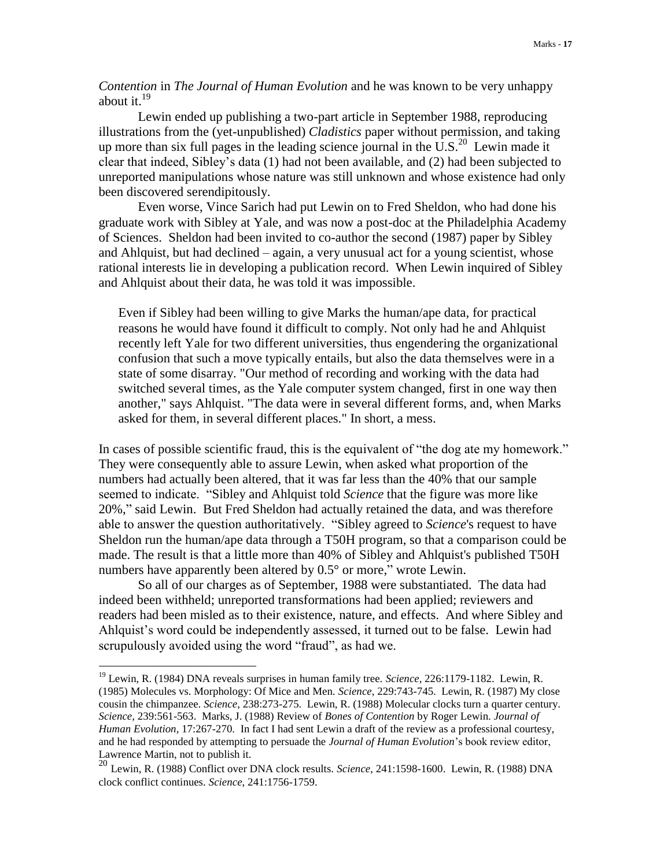*Contention* in *The Journal of Human Evolution* and he was known to be very unhappy about it. $19$ 

Lewin ended up publishing a two-part article in September 1988, reproducing illustrations from the (yet-unpublished) *Cladistics* paper without permission, and taking up more than six full pages in the leading science journal in the  $\overline{U.S.}^{20}$  Lewin made it clear that indeed, Sibley's data (1) had not been available, and (2) had been subjected to unreported manipulations whose nature was still unknown and whose existence had only been discovered serendipitously.

Even worse, Vince Sarich had put Lewin on to Fred Sheldon, who had done his graduate work with Sibley at Yale, and was now a post-doc at the Philadelphia Academy of Sciences. Sheldon had been invited to co-author the second (1987) paper by Sibley and Ahlquist, but had declined – again, a very unusual act for a young scientist, whose rational interests lie in developing a publication record. When Lewin inquired of Sibley and Ahlquist about their data, he was told it was impossible.

Even if Sibley had been willing to give Marks the human/ape data, for practical reasons he would have found it difficult to comply. Not only had he and Ahlquist recently left Yale for two different universities, thus engendering the organizational confusion that such a move typically entails, but also the data themselves were in a state of some disarray. "Our method of recording and working with the data had switched several times, as the Yale computer system changed, first in one way then another," says Ahlquist. "The data were in several different forms, and, when Marks asked for them, in several different places." In short, a mess.

In cases of possible scientific fraud, this is the equivalent of "the dog ate my homework." They were consequently able to assure Lewin, when asked what proportion of the numbers had actually been altered, that it was far less than the 40% that our sample seemed to indicate. "Sibley and Ahlquist told *Science* that the figure was more like 20%," said Lewin. But Fred Sheldon had actually retained the data, and was therefore able to answer the question authoritatively. "Sibley agreed to *Science*'s request to have Sheldon run the human/ape data through a T50H program, so that a comparison could be made. The result is that a little more than 40% of Sibley and Ahlquist's published T50H numbers have apparently been altered by 0.5° or more," wrote Lewin.

So all of our charges as of September, 1988 were substantiated. The data had indeed been withheld; unreported transformations had been applied; reviewers and readers had been misled as to their existence, nature, and effects. And where Sibley and Ahlquist's word could be independently assessed, it turned out to be false. Lewin had scrupulously avoided using the word "fraud", as had we.

<sup>19</sup> Lewin, R. (1984) DNA reveals surprises in human family tree. *Science*, 226:1179-1182. Lewin, R. (1985) Molecules vs. Morphology: Of Mice and Men. *Science*, 229:743-745. Lewin, R. (1987) My close cousin the chimpanzee. *Science*, 238:273-275. Lewin, R. (1988) Molecular clocks turn a quarter century. *Science*, 239:561-563. Marks, J. (1988) Review of *Bones of Contention* by Roger Lewin. *Journal of Human Evolution*, 17:267-270. In fact I had sent Lewin a draft of the review as a professional courtesy, and he had responded by attempting to persuade the *Journal of Human Evolution*'s book review editor, Lawrence Martin, not to publish it.

<sup>20</sup> Lewin, R. (1988) Conflict over DNA clock results. *Science*, 241:1598-1600. Lewin, R. (1988) DNA clock conflict continues. *Science*, 241:1756-1759.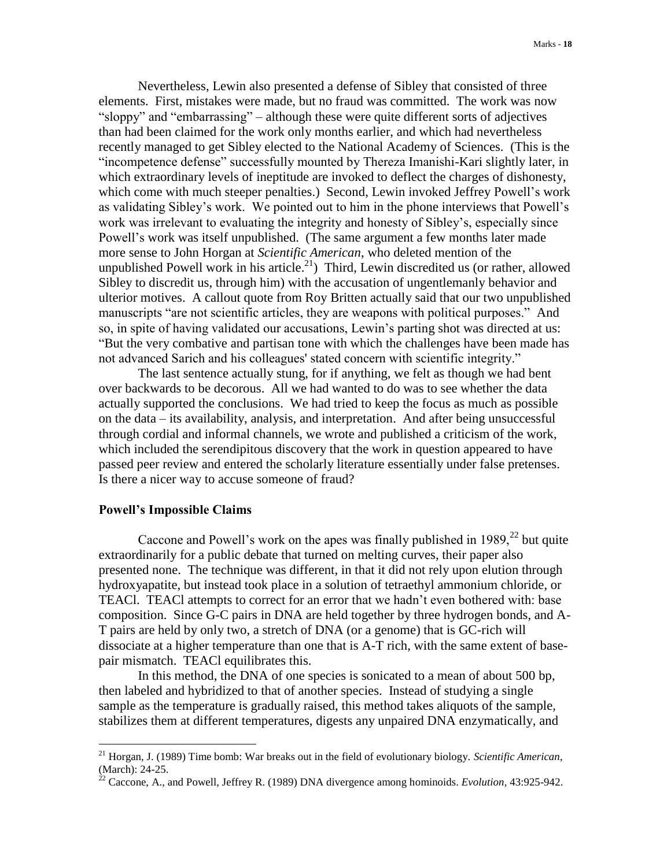Nevertheless, Lewin also presented a defense of Sibley that consisted of three elements. First, mistakes were made, but no fraud was committed. The work was now "sloppy" and "embarrassing" – although these were quite different sorts of adjectives than had been claimed for the work only months earlier, and which had nevertheless recently managed to get Sibley elected to the National Academy of Sciences. (This is the "incompetence defense" successfully mounted by Thereza Imanishi-Kari slightly later, in which extraordinary levels of ineptitude are invoked to deflect the charges of dishonesty, which come with much steeper penalties.) Second, Lewin invoked Jeffrey Powell's work as validating Sibley's work. We pointed out to him in the phone interviews that Powell's work was irrelevant to evaluating the integrity and honesty of Sibley's, especially since Powell's work was itself unpublished. (The same argument a few months later made more sense to John Horgan at *Scientific American*, who deleted mention of the unpublished Powell work in his article.<sup>21</sup>) Third, Lewin discredited us (or rather, allowed Sibley to discredit us, through him) with the accusation of ungentlemanly behavior and ulterior motives. A callout quote from Roy Britten actually said that our two unpublished manuscripts "are not scientific articles, they are weapons with political purposes." And so, in spite of having validated our accusations, Lewin's parting shot was directed at us: "But the very combative and partisan tone with which the challenges have been made has not advanced Sarich and his colleagues' stated concern with scientific integrity."

The last sentence actually stung, for if anything, we felt as though we had bent over backwards to be decorous. All we had wanted to do was to see whether the data actually supported the conclusions. We had tried to keep the focus as much as possible on the data – its availability, analysis, and interpretation. And after being unsuccessful through cordial and informal channels, we wrote and published a criticism of the work, which included the serendipitous discovery that the work in question appeared to have passed peer review and entered the scholarly literature essentially under false pretenses. Is there a nicer way to accuse someone of fraud?

## **Powell's Impossible Claims**

 $\overline{a}$ 

Caccone and Powell's work on the apes was finally published in  $1989$ <sup>22</sup> but quite extraordinarily for a public debate that turned on melting curves, their paper also presented none. The technique was different, in that it did not rely upon elution through hydroxyapatite, but instead took place in a solution of tetraethyl ammonium chloride, or TEACl. TEACl attempts to correct for an error that we hadn't even bothered with: base composition. Since G-C pairs in DNA are held together by three hydrogen bonds, and A-T pairs are held by only two, a stretch of DNA (or a genome) that is GC-rich will dissociate at a higher temperature than one that is A-T rich, with the same extent of basepair mismatch. TEACl equilibrates this.

In this method, the DNA of one species is sonicated to a mean of about 500 bp, then labeled and hybridized to that of another species. Instead of studying a single sample as the temperature is gradually raised, this method takes aliquots of the sample, stabilizes them at different temperatures, digests any unpaired DNA enzymatically, and

<sup>21</sup> Horgan, J. (1989) Time bomb: War breaks out in the field of evolutionary biology. *Scientific American*,  $(March): 24-25.$ 

<sup>22</sup> Caccone, A., and Powell, Jeffrey R. (1989) DNA divergence among hominoids. *Evolution*, 43:925-942.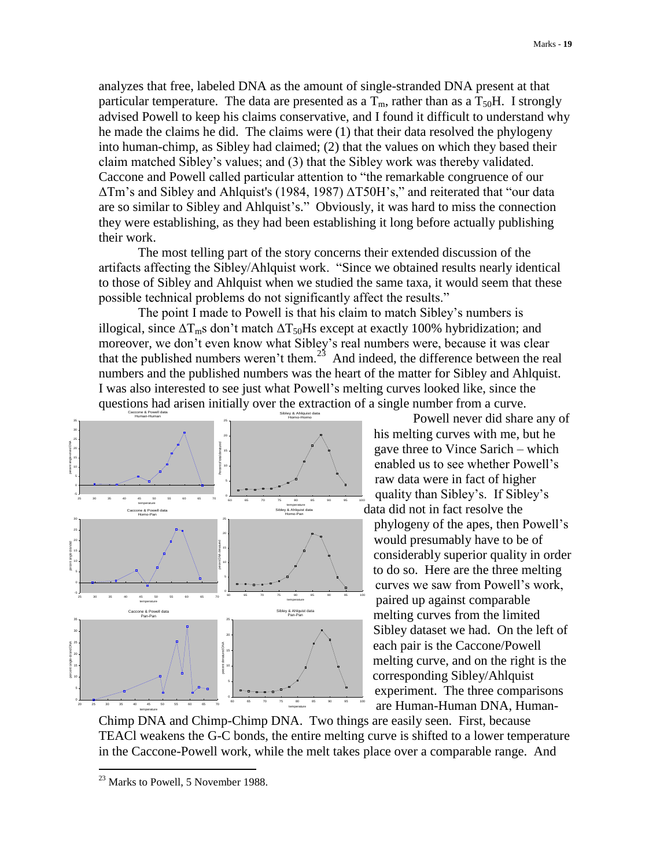analyzes that free, labeled DNA as the amount of single-stranded DNA present at that particular temperature. The data are presented as a  $T_m$ , rather than as a  $T_{50}H$ . I strongly advised Powell to keep his claims conservative, and I found it difficult to understand why he made the claims he did. The claims were (1) that their data resolved the phylogeny into human-chimp, as Sibley had claimed; (2) that the values on which they based their claim matched Sibley's values; and (3) that the Sibley work was thereby validated. Caccone and Powell called particular attention to "the remarkable congruence of our ΔTm's and Sibley and Ahlquist's (1984, 1987) ΔT50H's," and reiterated that "our data are so similar to Sibley and Ahlquist's." Obviously, it was hard to miss the connection they were establishing, as they had been establishing it long before actually publishing their work.

The most telling part of the story concerns their extended discussion of the artifacts affecting the Sibley/Ahlquist work. "Since we obtained results nearly identical to those of Sibley and Ahlquist when we studied the same taxa, it would seem that these possible technical problems do not significantly affect the results."

The point I made to Powell is that his claim to match Sibley's numbers is illogical, since  $\Delta T_{\rm m}$ s don't match  $\Delta T_{50}$ Hs except at exactly 100% hybridization; and moreover, we don't even know what Sibley's real numbers were, because it was clear that the published numbers weren't them.<sup>23</sup> And indeed, the difference between the real numbers and the published numbers was the heart of the matter for Sibley and Ahlquist. I was also interested to see just what Powell's melting curves looked like, since the questions had arisen initially over the extraction of a single number from a curve.



Powell never did share any of his melting curves with me, but he gave three to Vince Sarich – which enabled us to see whether Powell's raw data were in fact of higher quality than Sibley's. If Sibley's data did not in fact resolve the

phylogeny of the apes, then Powell's would presumably have to be of considerably superior quality in order to do so. Here are the three melting curves we saw from Powell's work, paired up against comparable melting curves from the limited Sibley dataset we had. On the left of each pair is the Caccone/Powell melting curve, and on the right is the corresponding Sibley/Ahlquist experiment. The three comparisons are Human-Human DNA, Human-

Chimp DNA and Chimp-Chimp DNA. Two things are easily seen. First, because TEACl weakens the G-C bonds, the entire melting curve is shifted to a lower temperature in the Caccone-Powell work, while the melt takes place over a comparable range. And

<sup>&</sup>lt;sup>23</sup> Marks to Powell, 5 November 1988.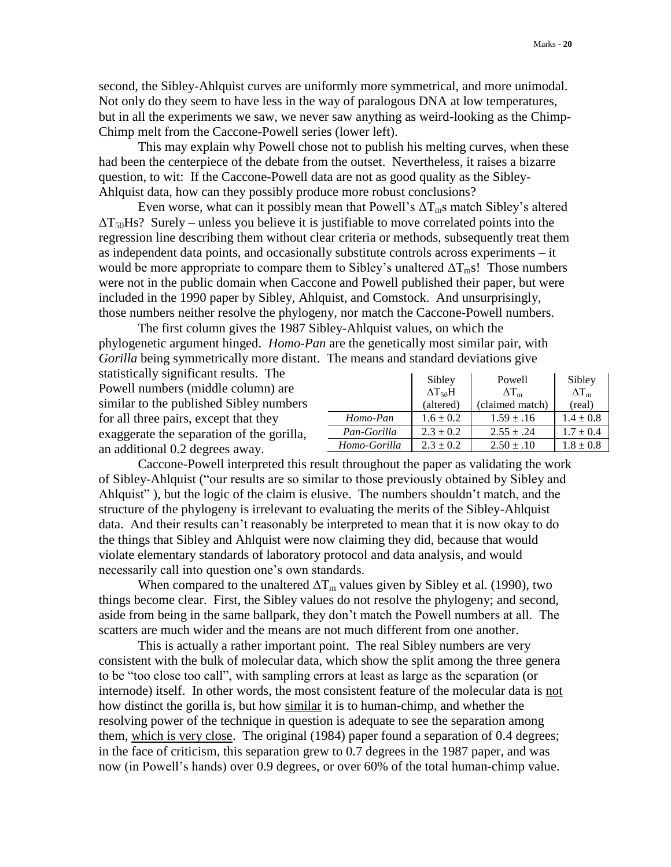second, the Sibley-Ahlquist curves are uniformly more symmetrical, and more unimodal. Not only do they seem to have less in the way of paralogous DNA at low temperatures, but in all the experiments we saw, we never saw anything as weird-looking as the Chimp-Chimp melt from the Caccone-Powell series (lower left).

This may explain why Powell chose not to publish his melting curves, when these had been the centerpiece of the debate from the outset. Nevertheless, it raises a bizarre question, to wit: If the Caccone-Powell data are not as good quality as the Sibley-Ahlquist data, how can they possibly produce more robust conclusions?

Even worse, what can it possibly mean that Powell's  $\Delta T_m$ s match Sibley's altered  $\Delta$ T<sub>50</sub>Hs? Surely – unless you believe it is justifiable to move correlated points into the regression line describing them without clear criteria or methods, subsequently treat them as independent data points, and occasionally substitute controls across experiments – it would be more appropriate to compare them to Sibley's unaltered  $\Delta T_m s!$ . Those numbers were not in the public domain when Caccone and Powell published their paper, but were included in the 1990 paper by Sibley, Ahlquist, and Comstock. And unsurprisingly, those numbers neither resolve the phylogeny, nor match the Caccone-Powell numbers.

The first column gives the 1987 Sibley-Ahlquist values, on which the phylogenetic argument hinged. *Homo*-*Pan* are the genetically most similar pair, with *Gorilla* being symmetrically more distant. The means and standard deviations give

statistically significant results. The Powell numbers (middle column) are similar to the published Sibley numbers for all three pairs, except that they exaggerate the separation of the gorilla, an additional 0.2 degrees away.

|              | Sibley                     | Powell             | Sibley             |
|--------------|----------------------------|--------------------|--------------------|
|              | $\Delta$ T <sub>50</sub> H | $\Delta T_{\rm m}$ | $\Delta T_{\rm m}$ |
|              | (altered)                  | (claimed match)    | (real)             |
| Homo-Pan     | $1.6 \pm 0.2$              | $1.59 \pm .16$     | $1.4 \pm 0.8$      |
| Pan-Gorilla  | $2.3 \pm 0.2$              | $2.55 \pm .24$     | $1.7 \pm 0.4$      |
| Homo-Gorilla | $2.3 \pm 0.2$              | $2.50 \pm .10$     | $1.8 \pm 0.8$      |

Caccone-Powell interpreted this result throughout the paper as validating the work of Sibley-Ahlquist ("our results are so similar to those previously obtained by Sibley and Ahlquist" ), but the logic of the claim is elusive. The numbers shouldn't match, and the structure of the phylogeny is irrelevant to evaluating the merits of the Sibley-Ahlquist data. And their results can't reasonably be interpreted to mean that it is now okay to do the things that Sibley and Ahlquist were now claiming they did, because that would violate elementary standards of laboratory protocol and data analysis, and would necessarily call into question one's own standards.

When compared to the unaltered  $\Delta T_m$  values given by Sibley et al. (1990), two things become clear. First, the Sibley values do not resolve the phylogeny; and second, aside from being in the same ballpark, they don't match the Powell numbers at all. The scatters are much wider and the means are not much different from one another.

This is actually a rather important point. The real Sibley numbers are very consistent with the bulk of molecular data, which show the split among the three genera to be "too close too call", with sampling errors at least as large as the separation (or internode) itself. In other words, the most consistent feature of the molecular data is not how distinct the gorilla is, but how similar it is to human-chimp, and whether the resolving power of the technique in question is adequate to see the separation among them, which is very close. The original (1984) paper found a separation of 0.4 degrees; in the face of criticism, this separation grew to 0.7 degrees in the 1987 paper, and was now (in Powell's hands) over 0.9 degrees, or over 60% of the total human-chimp value.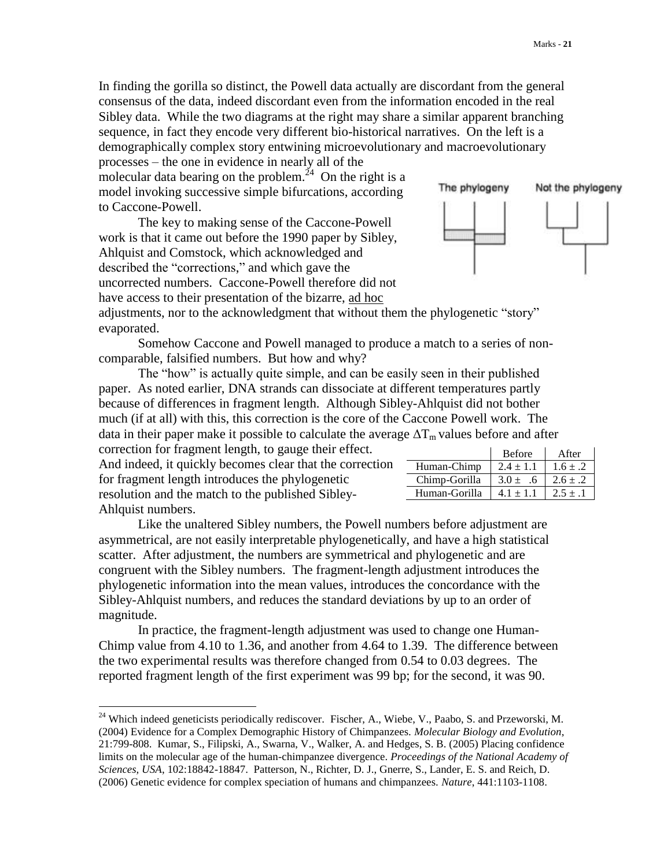In finding the gorilla so distinct, the Powell data actually are discordant from the general consensus of the data, indeed discordant even from the information encoded in the real Sibley data. While the two diagrams at the right may share a similar apparent branching sequence, in fact they encode very different bio-historical narratives. On the left is a demographically complex story entwining microevolutionary and macroevolutionary processes – the one in evidence in nearly all of the

molecular data bearing on the problem.<sup>24</sup> On the right is a model invoking successive simple bifurcations, according to Caccone-Powell.

The key to making sense of the Caccone-Powell work is that it came out before the 1990 paper by Sibley, Ahlquist and Comstock, which acknowledged and described the "corrections," and which gave the uncorrected numbers. Caccone-Powell therefore did not have access to their presentation of the bizarre, ad hoc



Human-Chimp  $2.4 \pm 1.1$   $1.6 \pm .2$ Chimp-Gorilla  $3.0 \pm .6$   $2.6 \pm .2$ Human-Gorilla  $4.1 \pm 1.1$   $2.5 \pm .1$ 

adjustments, nor to the acknowledgment that without them the phylogenetic "story" evaporated.

Somehow Caccone and Powell managed to produce a match to a series of noncomparable, falsified numbers. But how and why?

The "how" is actually quite simple, and can be easily seen in their published paper. As noted earlier, DNA strands can dissociate at different temperatures partly because of differences in fragment length. Although Sibley-Ahlquist did not bother much (if at all) with this, this correction is the core of the Caccone Powell work. The data in their paper make it possible to calculate the average  $\Delta T_m$  values before and after correction for fragment length, to gauge their effect. Before **After** 

| correction for magnitud foligul, to gauge them criteri.  |
|----------------------------------------------------------|
| And indeed, it quickly becomes clear that the correction |
| for fragment length introduces the phylogenetic          |
| resolution and the match to the published Sibley-        |
| Ahlquist numbers.                                        |

 $\overline{a}$ 

Like the unaltered Sibley numbers, the Powell numbers before adjustment are asymmetrical, are not easily interpretable phylogenetically, and have a high statistical scatter. After adjustment, the numbers are symmetrical and phylogenetic and are congruent with the Sibley numbers. The fragment-length adjustment introduces the phylogenetic information into the mean values, introduces the concordance with the Sibley-Ahlquist numbers, and reduces the standard deviations by up to an order of magnitude.

In practice, the fragment-length adjustment was used to change one Human-Chimp value from 4.10 to 1.36, and another from 4.64 to 1.39. The difference between the two experimental results was therefore changed from 0.54 to 0.03 degrees. The reported fragment length of the first experiment was 99 bp; for the second, it was 90.

<sup>&</sup>lt;sup>24</sup> Which indeed geneticists periodically rediscover. Fischer, A., Wiebe, V., Paabo, S. and Przeworski, M. (2004) Evidence for a Complex Demographic History of Chimpanzees. *Molecular Biology and Evolution*, 21:799-808. Kumar, S., Filipski, A., Swarna, V., Walker, A. and Hedges, S. B. (2005) Placing confidence limits on the molecular age of the human-chimpanzee divergence. *Proceedings of the National Academy of Sciences, USA*, 102:18842-18847. Patterson, N., Richter, D. J., Gnerre, S., Lander, E. S. and Reich, D. (2006) Genetic evidence for complex speciation of humans and chimpanzees. *Nature*, 441:1103-1108.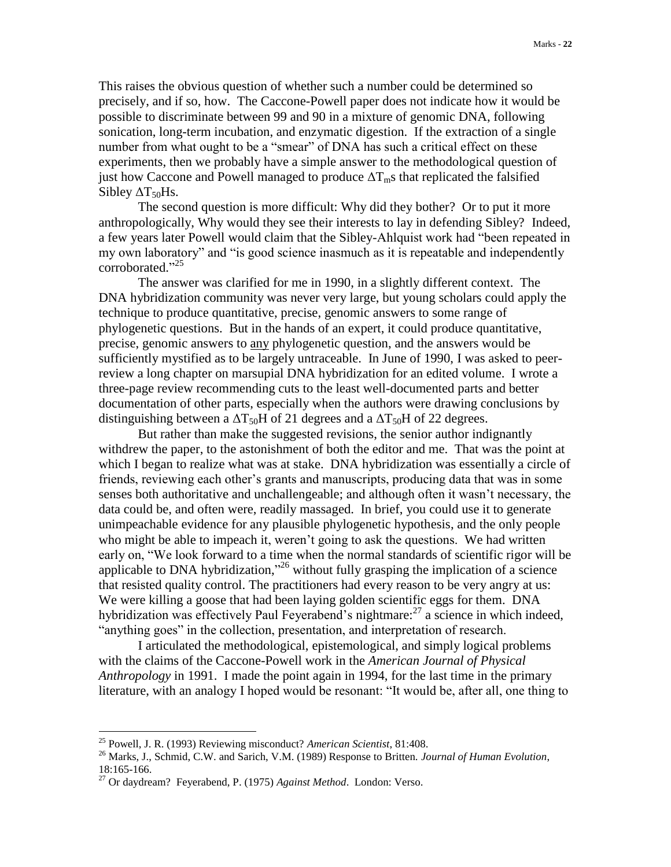This raises the obvious question of whether such a number could be determined so precisely, and if so, how. The Caccone-Powell paper does not indicate how it would be possible to discriminate between 99 and 90 in a mixture of genomic DNA, following sonication, long-term incubation, and enzymatic digestion. If the extraction of a single number from what ought to be a "smear" of DNA has such a critical effect on these experiments, then we probably have a simple answer to the methodological question of just how Caccone and Powell managed to produce  $\Delta T_{\text{m}}$ s that replicated the falsified Sibley  $\Delta T_{50}$ Hs.

The second question is more difficult: Why did they bother? Or to put it more anthropologically, Why would they see their interests to lay in defending Sibley? Indeed, a few years later Powell would claim that the Sibley-Ahlquist work had "been repeated in my own laboratory" and "is good science inasmuch as it is repeatable and independently corroborated." 25

The answer was clarified for me in 1990, in a slightly different context. The DNA hybridization community was never very large, but young scholars could apply the technique to produce quantitative, precise, genomic answers to some range of phylogenetic questions. But in the hands of an expert, it could produce quantitative, precise, genomic answers to any phylogenetic question, and the answers would be sufficiently mystified as to be largely untraceable. In June of 1990, I was asked to peerreview a long chapter on marsupial DNA hybridization for an edited volume. I wrote a three-page review recommending cuts to the least well-documented parts and better documentation of other parts, especially when the authors were drawing conclusions by distinguishing between a  $\Delta$ T<sub>50</sub>H of 21 degrees and a  $\Delta$ T<sub>50</sub>H of 22 degrees.

But rather than make the suggested revisions, the senior author indignantly withdrew the paper, to the astonishment of both the editor and me. That was the point at which I began to realize what was at stake. DNA hybridization was essentially a circle of friends, reviewing each other's grants and manuscripts, producing data that was in some senses both authoritative and unchallengeable; and although often it wasn't necessary, the data could be, and often were, readily massaged. In brief, you could use it to generate unimpeachable evidence for any plausible phylogenetic hypothesis, and the only people who might be able to impeach it, weren't going to ask the questions. We had written early on, "We look forward to a time when the normal standards of scientific rigor will be applicable to DNA hybridization,"<sup>26</sup> without fully grasping the implication of a science that resisted quality control. The practitioners had every reason to be very angry at us: We were killing a goose that had been laying golden scientific eggs for them. DNA hybridization was effectively Paul Feyerabend's nightmare: $^{27}$  a science in which indeed, "anything goes" in the collection, presentation, and interpretation of research.

I articulated the methodological, epistemological, and simply logical problems with the claims of the Caccone-Powell work in the *American Journal of Physical Anthropology* in 1991. I made the point again in 1994, for the last time in the primary literature, with an analogy I hoped would be resonant: "It would be, after all, one thing to

<sup>25</sup> Powell, J. R. (1993) Reviewing misconduct? *American Scientist*, 81:408.

<sup>26</sup> Marks, J., Schmid, C.W. and Sarich, V.M. (1989) Response to Britten. *Journal of Human Evolution*, 18:165-166.

<sup>27</sup> Or daydream? Feyerabend, P. (1975) *Against Method*. London: Verso.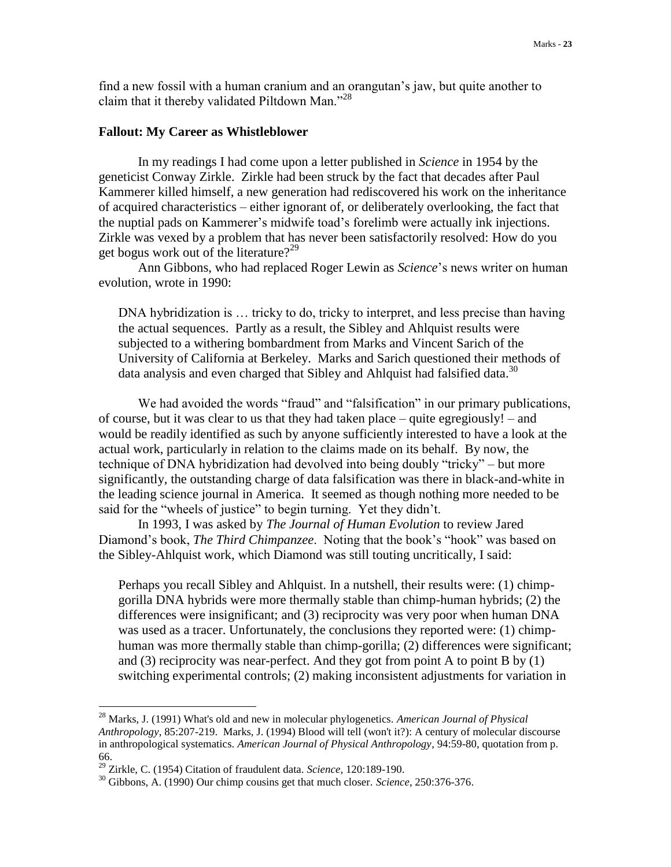find a new fossil with a human cranium and an orangutan's jaw, but quite another to claim that it thereby validated Piltdown Man."<sup>28</sup>

## **Fallout: My Career as Whistleblower**

In my readings I had come upon a letter published in *Science* in 1954 by the geneticist Conway Zirkle. Zirkle had been struck by the fact that decades after Paul Kammerer killed himself, a new generation had rediscovered his work on the inheritance of acquired characteristics – either ignorant of, or deliberately overlooking, the fact that the nuptial pads on Kammerer's midwife toad's forelimb were actually ink injections. Zirkle was vexed by a problem that has never been satisfactorily resolved: How do you get bogus work out of the literature?<sup>29</sup>

Ann Gibbons, who had replaced Roger Lewin as *Science*'s news writer on human evolution, wrote in 1990:

DNA hybridization is ... tricky to do, tricky to interpret, and less precise than having the actual sequences. Partly as a result, the Sibley and Ahlquist results were subjected to a withering bombardment from Marks and Vincent Sarich of the University of California at Berkeley. Marks and Sarich questioned their methods of data analysis and even charged that Sibley and Ahlquist had falsified data.<sup>30</sup>

We had avoided the words "fraud" and "falsification" in our primary publications, of course, but it was clear to us that they had taken place – quite egregiously! – and would be readily identified as such by anyone sufficiently interested to have a look at the actual work, particularly in relation to the claims made on its behalf. By now, the technique of DNA hybridization had devolved into being doubly "tricky" – but more significantly, the outstanding charge of data falsification was there in black-and-white in the leading science journal in America. It seemed as though nothing more needed to be said for the "wheels of justice" to begin turning. Yet they didn't.

In 1993, I was asked by *The Journal of Human Evolution* to review Jared Diamond's book, *The Third Chimpanzee*. Noting that the book's "hook" was based on the Sibley-Ahlquist work, which Diamond was still touting uncritically, I said:

Perhaps you recall Sibley and Ahlquist. In a nutshell, their results were: (1) chimpgorilla DNA hybrids were more thermally stable than chimp-human hybrids; (2) the differences were insignificant; and (3) reciprocity was very poor when human DNA was used as a tracer. Unfortunately, the conclusions they reported were: (1) chimphuman was more thermally stable than chimp-gorilla; (2) differences were significant; and  $(3)$  reciprocity was near-perfect. And they got from point A to point B by  $(1)$ switching experimental controls; (2) making inconsistent adjustments for variation in

<sup>28</sup> Marks, J. (1991) What's old and new in molecular phylogenetics. *American Journal of Physical Anthropology*, 85:207-219. Marks, J. (1994) Blood will tell (won't it?): A century of molecular discourse in anthropological systematics. *American Journal of Physical Anthropology*, 94:59-80, quotation from p. 66.

<sup>29</sup> Zirkle, C. (1954) Citation of fraudulent data. *Science*, 120:189-190.

<sup>30</sup> Gibbons, A. (1990) Our chimp cousins get that much closer. *Science*, 250:376-376.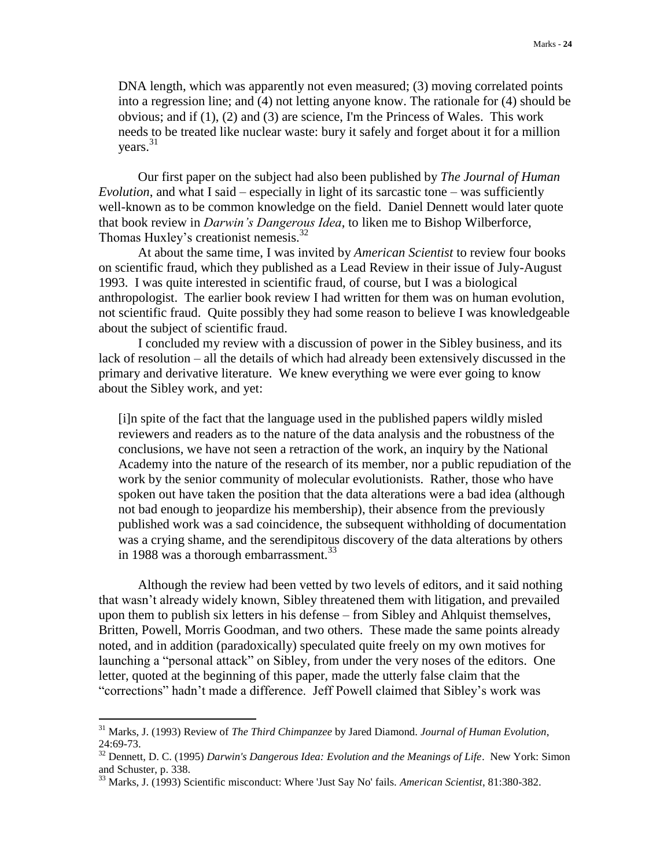DNA length, which was apparently not even measured; (3) moving correlated points into a regression line; and (4) not letting anyone know. The rationale for (4) should be obvious; and if (1), (2) and (3) are science, I'm the Princess of Wales. This work needs to be treated like nuclear waste: bury it safely and forget about it for a million years. 31

Our first paper on the subject had also been published by *The Journal of Human Evolution*, and what I said – especially in light of its sarcastic tone – was sufficiently well-known as to be common knowledge on the field. Daniel Dennett would later quote that book review in *Darwin's Dangerous Idea*, to liken me to Bishop Wilberforce, Thomas Huxley's creationist nemesis.<sup>32</sup>

At about the same time, I was invited by *American Scientist* to review four books on scientific fraud, which they published as a Lead Review in their issue of July-August 1993. I was quite interested in scientific fraud, of course, but I was a biological anthropologist. The earlier book review I had written for them was on human evolution, not scientific fraud. Quite possibly they had some reason to believe I was knowledgeable about the subject of scientific fraud.

I concluded my review with a discussion of power in the Sibley business, and its lack of resolution – all the details of which had already been extensively discussed in the primary and derivative literature. We knew everything we were ever going to know about the Sibley work, and yet:

[i]n spite of the fact that the language used in the published papers wildly misled reviewers and readers as to the nature of the data analysis and the robustness of the conclusions, we have not seen a retraction of the work, an inquiry by the National Academy into the nature of the research of its member, nor a public repudiation of the work by the senior community of molecular evolutionists. Rather, those who have spoken out have taken the position that the data alterations were a bad idea (although not bad enough to jeopardize his membership), their absence from the previously published work was a sad coincidence, the subsequent withholding of documentation was a crying shame, and the serendipitous discovery of the data alterations by others in 1988 was a thorough embarrassment.<sup>33</sup>

Although the review had been vetted by two levels of editors, and it said nothing that wasn't already widely known, Sibley threatened them with litigation, and prevailed upon them to publish six letters in his defense – from Sibley and Ahlquist themselves, Britten, Powell, Morris Goodman, and two others. These made the same points already noted, and in addition (paradoxically) speculated quite freely on my own motives for launching a "personal attack" on Sibley, from under the very noses of the editors. One letter, quoted at the beginning of this paper, made the utterly false claim that the "corrections" hadn't made a difference. Jeff Powell claimed that Sibley's work was

<sup>31</sup> Marks, J. (1993) Review of *The Third Chimpanzee* by Jared Diamond. *Journal of Human Evolution*, 24:69-73.

<sup>32</sup> Dennett, D. C. (1995) *Darwin's Dangerous Idea: Evolution and the Meanings of Life*. New York: Simon and Schuster, p. 338.

<sup>33</sup> Marks, J. (1993) Scientific misconduct: Where 'Just Say No' fails. *American Scientist*, 81:380-382.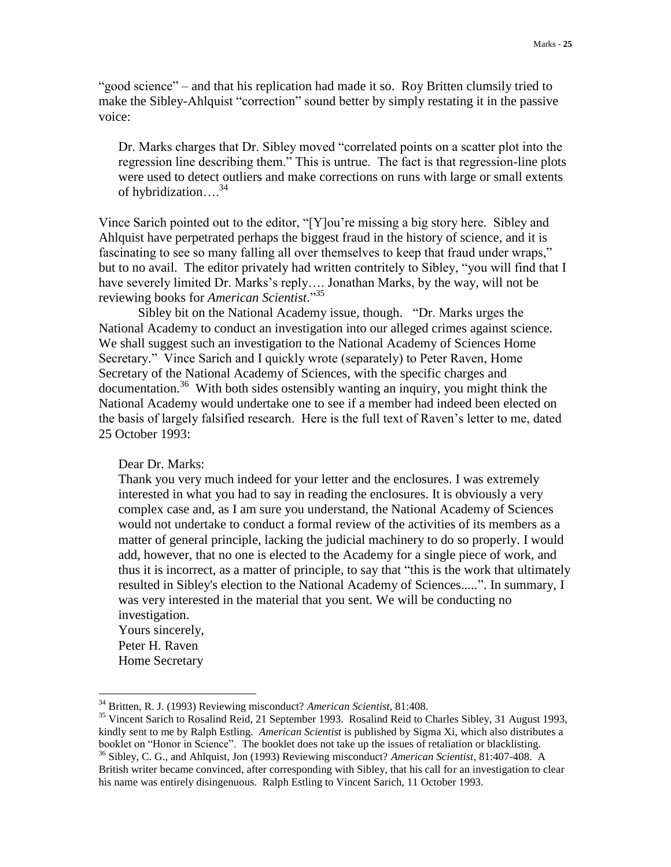"good science" – and that his replication had made it so. Roy Britten clumsily tried to make the Sibley-Ahlquist "correction" sound better by simply restating it in the passive voice:

Dr. Marks charges that Dr. Sibley moved "correlated points on a scatter plot into the regression line describing them." This is untrue. The fact is that regression-line plots were used to detect outliers and make corrections on runs with large or small extents of hybridization…. 34

Vince Sarich pointed out to the editor, "[Y]ou're missing a big story here. Sibley and Ahlquist have perpetrated perhaps the biggest fraud in the history of science, and it is fascinating to see so many falling all over themselves to keep that fraud under wraps," but to no avail. The editor privately had written contritely to Sibley, "you will find that I have severely limited Dr. Marks's reply…. Jonathan Marks, by the way, will not be reviewing books for *American Scientist*." 35

Sibley bit on the National Academy issue, though. "Dr. Marks urges the National Academy to conduct an investigation into our alleged crimes against science. We shall suggest such an investigation to the National Academy of Sciences Home Secretary." Vince Sarich and I quickly wrote (separately) to Peter Raven, Home Secretary of the National Academy of Sciences, with the specific charges and documentation.<sup>36</sup> With both sides ostensibly wanting an inquiry, you might think the National Academy would undertake one to see if a member had indeed been elected on the basis of largely falsified research. Here is the full text of Raven's letter to me, dated 25 October 1993:

Dear Dr. Marks:

Thank you very much indeed for your letter and the enclosures. I was extremely interested in what you had to say in reading the enclosures. It is obviously a very complex case and, as I am sure you understand, the National Academy of Sciences would not undertake to conduct a formal review of the activities of its members as a matter of general principle, lacking the judicial machinery to do so properly. I would add, however, that no one is elected to the Academy for a single piece of work, and thus it is incorrect, as a matter of principle, to say that "this is the work that ultimately resulted in Sibley's election to the National Academy of Sciences.....". In summary, I was very interested in the material that you sent. We will be conducting no investigation.

Yours sincerely, Peter H. Raven Home Secretary

<sup>34</sup> Britten, R. J. (1993) Reviewing misconduct? *American Scientist*, 81:408.

<sup>&</sup>lt;sup>35</sup> Vincent Sarich to Rosalind Reid, 21 September 1993. Rosalind Reid to Charles Sibley, 31 August 1993, kindly sent to me by Ralph Estling. *American Scientist* is published by Sigma Xi, which also distributes a booklet on "Honor in Science". The booklet does not take up the issues of retaliation or blacklisting. <sup>36</sup> Sibley, C. G., and Ahlquist, Jon (1993) Reviewing misconduct? *American Scientist*, 81:407-408. A British writer became convinced, after corresponding with Sibley, that his call for an investigation to clear his name was entirely disingenuous. Ralph Estling to Vincent Sarich, 11 October 1993.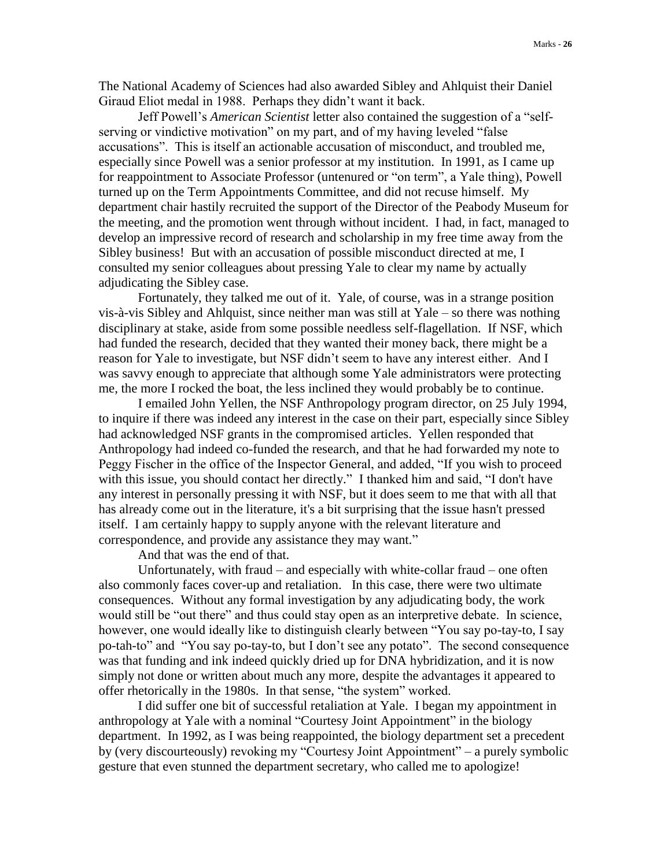The National Academy of Sciences had also awarded Sibley and Ahlquist their Daniel Giraud Eliot medal in 1988. Perhaps they didn't want it back.

Jeff Powell's *American Scientist* letter also contained the suggestion of a "selfserving or vindictive motivation" on my part, and of my having leveled "false accusations". This is itself an actionable accusation of misconduct, and troubled me, especially since Powell was a senior professor at my institution. In 1991, as I came up for reappointment to Associate Professor (untenured or "on term", a Yale thing), Powell turned up on the Term Appointments Committee, and did not recuse himself. My department chair hastily recruited the support of the Director of the Peabody Museum for the meeting, and the promotion went through without incident. I had, in fact, managed to develop an impressive record of research and scholarship in my free time away from the Sibley business! But with an accusation of possible misconduct directed at me, I consulted my senior colleagues about pressing Yale to clear my name by actually adjudicating the Sibley case.

Fortunately, they talked me out of it. Yale, of course, was in a strange position vis-à-vis Sibley and Ahlquist, since neither man was still at Yale – so there was nothing disciplinary at stake, aside from some possible needless self-flagellation. If NSF, which had funded the research, decided that they wanted their money back, there might be a reason for Yale to investigate, but NSF didn't seem to have any interest either. And I was savvy enough to appreciate that although some Yale administrators were protecting me, the more I rocked the boat, the less inclined they would probably be to continue.

I emailed John Yellen, the NSF Anthropology program director, on 25 July 1994, to inquire if there was indeed any interest in the case on their part, especially since Sibley had acknowledged NSF grants in the compromised articles. Yellen responded that Anthropology had indeed co-funded the research, and that he had forwarded my note to Peggy Fischer in the office of the Inspector General, and added, "If you wish to proceed with this issue, you should contact her directly." I thanked him and said, "I don't have any interest in personally pressing it with NSF, but it does seem to me that with all that has already come out in the literature, it's a bit surprising that the issue hasn't pressed itself. I am certainly happy to supply anyone with the relevant literature and correspondence, and provide any assistance they may want."

And that was the end of that.

Unfortunately, with fraud – and especially with white-collar fraud – one often also commonly faces cover-up and retaliation. In this case, there were two ultimate consequences. Without any formal investigation by any adjudicating body, the work would still be "out there" and thus could stay open as an interpretive debate. In science, however, one would ideally like to distinguish clearly between "You say po-tay-to, I say po-tah-to" and "You say po-tay-to, but I don't see any potato". The second consequence was that funding and ink indeed quickly dried up for DNA hybridization, and it is now simply not done or written about much any more, despite the advantages it appeared to offer rhetorically in the 1980s. In that sense, "the system" worked.

I did suffer one bit of successful retaliation at Yale. I began my appointment in anthropology at Yale with a nominal "Courtesy Joint Appointment" in the biology department. In 1992, as I was being reappointed, the biology department set a precedent by (very discourteously) revoking my "Courtesy Joint Appointment" – a purely symbolic gesture that even stunned the department secretary, who called me to apologize!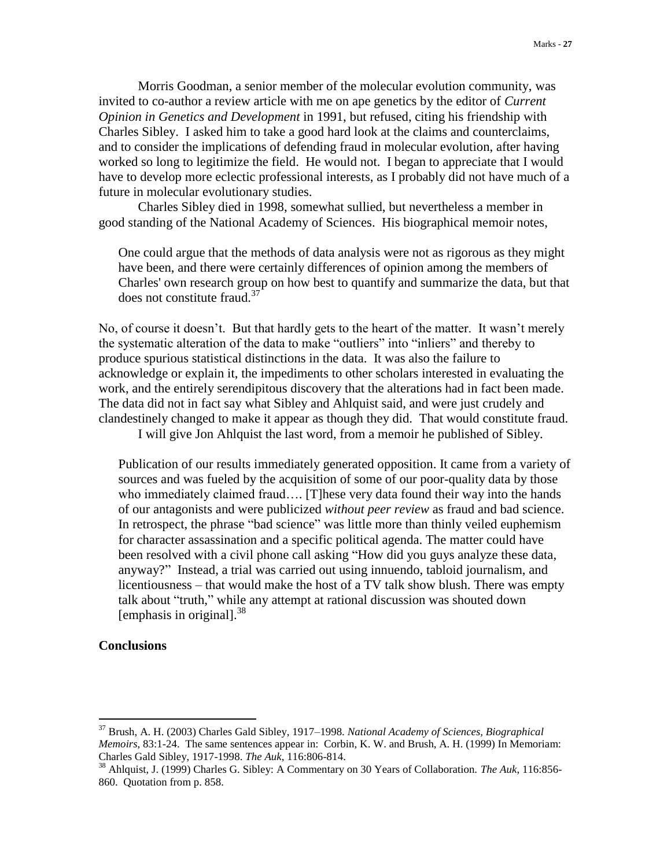Morris Goodman, a senior member of the molecular evolution community, was invited to co-author a review article with me on ape genetics by the editor of *Current Opinion in Genetics and Development* in 1991, but refused, citing his friendship with Charles Sibley. I asked him to take a good hard look at the claims and counterclaims, and to consider the implications of defending fraud in molecular evolution, after having worked so long to legitimize the field. He would not. I began to appreciate that I would have to develop more eclectic professional interests, as I probably did not have much of a future in molecular evolutionary studies.

Charles Sibley died in 1998, somewhat sullied, but nevertheless a member in good standing of the National Academy of Sciences. His biographical memoir notes,

One could argue that the methods of data analysis were not as rigorous as they might have been, and there were certainly differences of opinion among the members of Charles' own research group on how best to quantify and summarize the data, but that does not constitute fraud.<sup>37</sup>

No, of course it doesn't. But that hardly gets to the heart of the matter. It wasn't merely the systematic alteration of the data to make "outliers" into "inliers" and thereby to produce spurious statistical distinctions in the data. It was also the failure to acknowledge or explain it, the impediments to other scholars interested in evaluating the work, and the entirely serendipitous discovery that the alterations had in fact been made. The data did not in fact say what Sibley and Ahlquist said, and were just crudely and clandestinely changed to make it appear as though they did. That would constitute fraud.

I will give Jon Ahlquist the last word, from a memoir he published of Sibley.

Publication of our results immediately generated opposition. It came from a variety of sources and was fueled by the acquisition of some of our poor-quality data by those who immediately claimed fraud…. [T]hese very data found their way into the hands of our antagonists and were publicized *without peer review* as fraud and bad science. In retrospect, the phrase "bad science" was little more than thinly veiled euphemism for character assassination and a specific political agenda. The matter could have been resolved with a civil phone call asking "How did you guys analyze these data, anyway?" Instead, a trial was carried out using innuendo, tabloid journalism, and licentiousness – that would make the host of a TV talk show blush. There was empty talk about "truth," while any attempt at rational discussion was shouted down [emphasis in original].<sup>38</sup>

## **Conclusions**

<sup>37</sup> Brush, A. H. (2003) Charles Gald Sibley, 1917–1998. *National Academy of Sciences, Biographical Memoirs*, 83:1-24. The same sentences appear in: Corbin, K. W. and Brush, A. H. (1999) In Memoriam: Charles Gald Sibley, 1917-1998. *The Auk*, 116:806-814.

<sup>38</sup> Ahlquist, J. (1999) Charles G. Sibley: A Commentary on 30 Years of Collaboration. *The Auk*, 116:856- 860. Quotation from p. 858.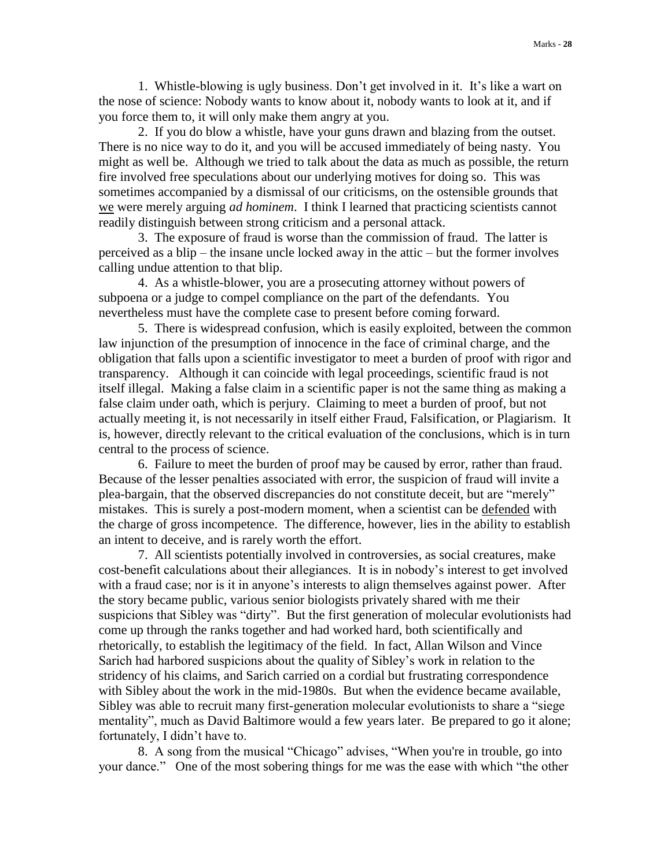1. Whistle-blowing is ugly business. Don't get involved in it. It's like a wart on the nose of science: Nobody wants to know about it, nobody wants to look at it, and if you force them to, it will only make them angry at you.

2. If you do blow a whistle, have your guns drawn and blazing from the outset. There is no nice way to do it, and you will be accused immediately of being nasty. You might as well be. Although we tried to talk about the data as much as possible, the return fire involved free speculations about our underlying motives for doing so. This was sometimes accompanied by a dismissal of our criticisms, on the ostensible grounds that we were merely arguing *ad hominem*. I think I learned that practicing scientists cannot readily distinguish between strong criticism and a personal attack.

3. The exposure of fraud is worse than the commission of fraud. The latter is perceived as a blip – the insane uncle locked away in the attic – but the former involves calling undue attention to that blip.

4. As a whistle-blower, you are a prosecuting attorney without powers of subpoena or a judge to compel compliance on the part of the defendants. You nevertheless must have the complete case to present before coming forward.

5. There is widespread confusion, which is easily exploited, between the common law injunction of the presumption of innocence in the face of criminal charge, and the obligation that falls upon a scientific investigator to meet a burden of proof with rigor and transparency. Although it can coincide with legal proceedings, scientific fraud is not itself illegal. Making a false claim in a scientific paper is not the same thing as making a false claim under oath, which is perjury. Claiming to meet a burden of proof, but not actually meeting it, is not necessarily in itself either Fraud, Falsification, or Plagiarism. It is, however, directly relevant to the critical evaluation of the conclusions, which is in turn central to the process of science.

6. Failure to meet the burden of proof may be caused by error, rather than fraud. Because of the lesser penalties associated with error, the suspicion of fraud will invite a plea-bargain, that the observed discrepancies do not constitute deceit, but are "merely" mistakes. This is surely a post-modern moment, when a scientist can be defended with the charge of gross incompetence. The difference, however, lies in the ability to establish an intent to deceive, and is rarely worth the effort.

7. All scientists potentially involved in controversies, as social creatures, make cost-benefit calculations about their allegiances. It is in nobody's interest to get involved with a fraud case; nor is it in anyone's interests to align themselves against power. After the story became public, various senior biologists privately shared with me their suspicions that Sibley was "dirty". But the first generation of molecular evolutionists had come up through the ranks together and had worked hard, both scientifically and rhetorically, to establish the legitimacy of the field. In fact, Allan Wilson and Vince Sarich had harbored suspicions about the quality of Sibley's work in relation to the stridency of his claims, and Sarich carried on a cordial but frustrating correspondence with Sibley about the work in the mid-1980s. But when the evidence became available, Sibley was able to recruit many first-generation molecular evolutionists to share a "siege mentality", much as David Baltimore would a few years later. Be prepared to go it alone; fortunately, I didn't have to.

8. A song from the musical "Chicago" advises, "When you're in trouble, go into your dance." One of the most sobering things for me was the ease with which "the other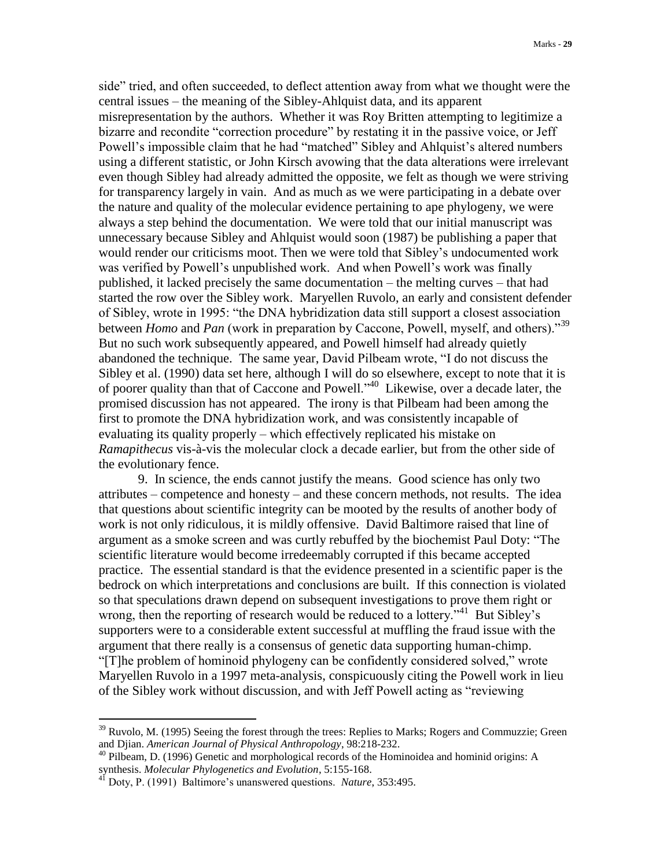side" tried, and often succeeded, to deflect attention away from what we thought were the central issues – the meaning of the Sibley-Ahlquist data, and its apparent misrepresentation by the authors. Whether it was Roy Britten attempting to legitimize a bizarre and recondite "correction procedure" by restating it in the passive voice, or Jeff Powell's impossible claim that he had "matched" Sibley and Ahlquist's altered numbers using a different statistic, or John Kirsch avowing that the data alterations were irrelevant even though Sibley had already admitted the opposite, we felt as though we were striving for transparency largely in vain. And as much as we were participating in a debate over the nature and quality of the molecular evidence pertaining to ape phylogeny, we were always a step behind the documentation. We were told that our initial manuscript was unnecessary because Sibley and Ahlquist would soon (1987) be publishing a paper that would render our criticisms moot. Then we were told that Sibley's undocumented work was verified by Powell's unpublished work. And when Powell's work was finally published, it lacked precisely the same documentation – the melting curves – that had started the row over the Sibley work. Maryellen Ruvolo, an early and consistent defender of Sibley, wrote in 1995: "the DNA hybridization data still support a closest association between *Homo* and *Pan* (work in preparation by Caccone, Powell, myself, and others)."<sup>39</sup> But no such work subsequently appeared, and Powell himself had already quietly abandoned the technique. The same year, David Pilbeam wrote, "I do not discuss the Sibley et al. (1990) data set here, although I will do so elsewhere, except to note that it is of poorer quality than that of Caccone and Powell."<sup>40</sup> Likewise, over a decade later, the promised discussion has not appeared. The irony is that Pilbeam had been among the first to promote the DNA hybridization work, and was consistently incapable of evaluating its quality properly – which effectively replicated his mistake on *Ramapithecus* vis-à-vis the molecular clock a decade earlier, but from the other side of the evolutionary fence.

9. In science, the ends cannot justify the means. Good science has only two attributes – competence and honesty – and these concern methods, not results. The idea that questions about scientific integrity can be mooted by the results of another body of work is not only ridiculous, it is mildly offensive. David Baltimore raised that line of argument as a smoke screen and was curtly rebuffed by the biochemist Paul Doty: "The scientific literature would become irredeemably corrupted if this became accepted practice. The essential standard is that the evidence presented in a scientific paper is the bedrock on which interpretations and conclusions are built. If this connection is violated so that speculations drawn depend on subsequent investigations to prove them right or wrong, then the reporting of research would be reduced to a lottery.<sup>341</sup> But Sibley's supporters were to a considerable extent successful at muffling the fraud issue with the argument that there really is a consensus of genetic data supporting human-chimp. "[T]he problem of hominoid phylogeny can be confidently considered solved," wrote Maryellen Ruvolo in a 1997 meta-analysis, conspicuously citing the Powell work in lieu of the Sibley work without discussion, and with Jeff Powell acting as "reviewing

<sup>&</sup>lt;sup>39</sup> Ruvolo, M. (1995) Seeing the forest through the trees: Replies to Marks; Rogers and Commuzzie; Green and Djian. *American Journal of Physical Anthropology*, 98:218-232.

<sup>&</sup>lt;sup>40</sup> Pilbeam, D. (1996) Genetic and morphological records of the Hominoidea and hominid origins: A synthesis. *Molecular Phylogenetics and Evolution*, 5:155-168.

<sup>41</sup> Doty, P. (1991) Baltimore's unanswered questions. *Nature*, 353:495.